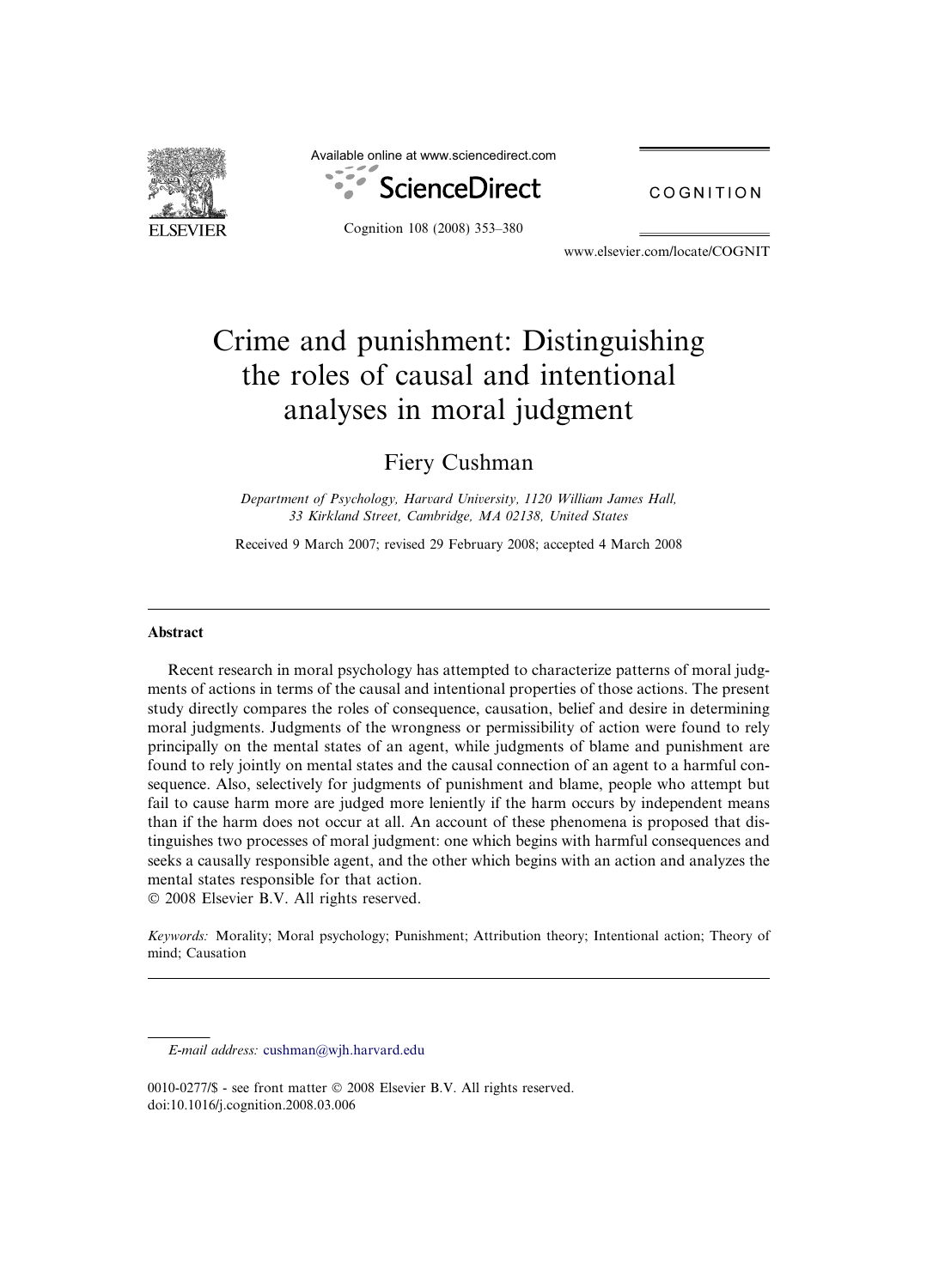

Available online at www.sciencedirect.com



Cognition 108 (2008) 353–380

www.elsevier.com/locate/COGNIT

COGNITION

# Crime and punishment: Distinguishing the roles of causal and intentional analyses in moral judgment

# Fiery Cushman

Department of Psychology, Harvard University, 1120 William James Hall, 33 Kirkland Street, Cambridge, MA 02138, United States

Received 9 March 2007; revised 29 February 2008; accepted 4 March 2008

#### Abstract

Recent research in moral psychology has attempted to characterize patterns of moral judgments of actions in terms of the causal and intentional properties of those actions. The present study directly compares the roles of consequence, causation, belief and desire in determining moral judgments. Judgments of the wrongness or permissibility of action were found to rely principally on the mental states of an agent, while judgments of blame and punishment are found to rely jointly on mental states and the causal connection of an agent to a harmful consequence. Also, selectively for judgments of punishment and blame, people who attempt but fail to cause harm more are judged more leniently if the harm occurs by independent means than if the harm does not occur at all. An account of these phenomena is proposed that distinguishes two processes of moral judgment: one which begins with harmful consequences and seeks a causally responsible agent, and the other which begins with an action and analyzes the mental states responsible for that action.

 $© 2008 Elsevier B.V. All rights reserved.$ 

Keywords: Morality; Moral psychology; Punishment; Attribution theory; Intentional action; Theory of mind; Causation

E-mail address: [cushman@wjh.harvard.edu](mailto:cushman@wjh.harvard.edu)

<sup>0010-0277/\$ -</sup> see front matter © 2008 Elsevier B.V. All rights reserved. doi:10.1016/j.cognition.2008.03.006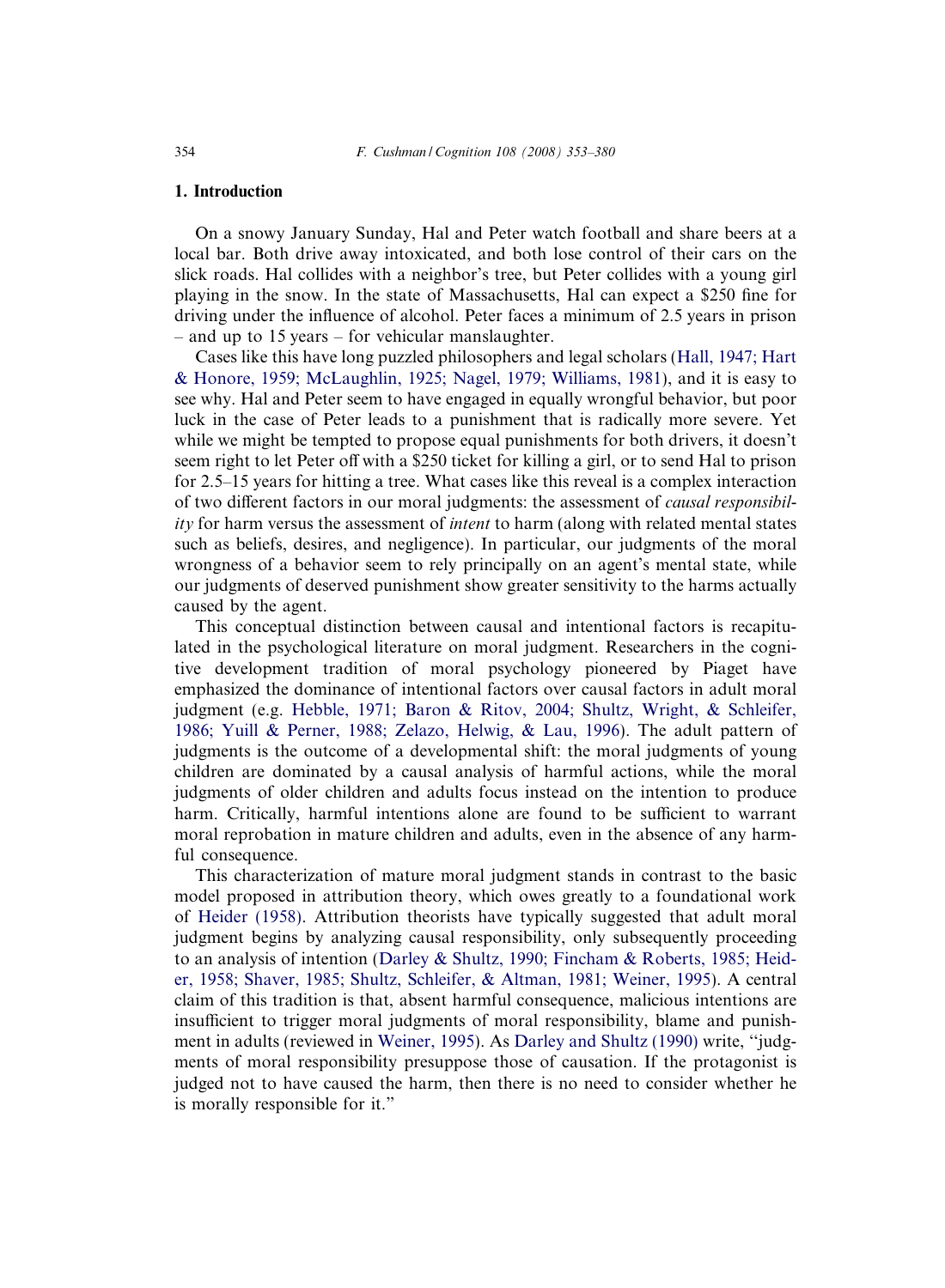#### 1. Introduction

On a snowy January Sunday, Hal and Peter watch football and share beers at a local bar. Both drive away intoxicated, and both lose control of their cars on the slick roads. Hal collides with a neighbor's tree, but Peter collides with a young girl playing in the snow. In the state of Massachusetts, Hal can expect a \$250 fine for driving under the influence of alcohol. Peter faces a minimum of 2.5 years in prison – and up to 15 years – for vehicular manslaughter.

Cases like this have long puzzled philosophers and legal scholars [\(Hall, 1947; Hart](#page-26-0) [& Honore, 1959; McLaughlin, 1925; Nagel, 1979; Williams, 1981](#page-26-0)), and it is easy to see why. Hal and Peter seem to have engaged in equally wrongful behavior, but poor luck in the case of Peter leads to a punishment that is radically more severe. Yet while we might be tempted to propose equal punishments for both drivers, it doesn't seem right to let Peter off with a \$250 ticket for killing a girl, or to send Hal to prison for 2.5–15 years for hitting a tree. What cases like this reveal is a complex interaction of two different factors in our moral judgments: the assessment of causal responsibility for harm versus the assessment of *intent* to harm (along with related mental states such as beliefs, desires, and negligence). In particular, our judgments of the moral wrongness of a behavior seem to rely principally on an agent's mental state, while our judgments of deserved punishment show greater sensitivity to the harms actually caused by the agent.

This conceptual distinction between causal and intentional factors is recapitulated in the psychological literature on moral judgment. Researchers in the cognitive development tradition of moral psychology pioneered by Piaget have emphasized the dominance of intentional factors over causal factors in adult moral judgment (e.g. [Hebble, 1971; Baron & Ritov, 2004; Shultz, Wright, & Schleifer,](#page-26-0) [1986; Yuill & Perner, 1988; Zelazo, Helwig, & Lau, 1996](#page-26-0)). The adult pattern of judgments is the outcome of a developmental shift: the moral judgments of young children are dominated by a causal analysis of harmful actions, while the moral judgments of older children and adults focus instead on the intention to produce harm. Critically, harmful intentions alone are found to be sufficient to warrant moral reprobation in mature children and adults, even in the absence of any harmful consequence.

This characterization of mature moral judgment stands in contrast to the basic model proposed in attribution theory, which owes greatly to a foundational work of [Heider \(1958\).](#page-26-0) Attribution theorists have typically suggested that adult moral judgment begins by analyzing causal responsibility, only subsequently proceeding to an analysis of intention [\(Darley & Shultz, 1990; Fincham & Roberts, 1985; Heid](#page-26-0)[er, 1958; Shaver, 1985; Shultz, Schleifer, & Altman, 1981; Weiner, 1995\)](#page-26-0). A central claim of this tradition is that, absent harmful consequence, malicious intentions are insufficient to trigger moral judgments of moral responsibility, blame and punishment in adults (reviewed in [Weiner, 1995\)](#page-27-0). As [Darley and Shultz \(1990\)](#page-26-0) write, ''judgments of moral responsibility presuppose those of causation. If the protagonist is judged not to have caused the harm, then there is no need to consider whether he is morally responsible for it."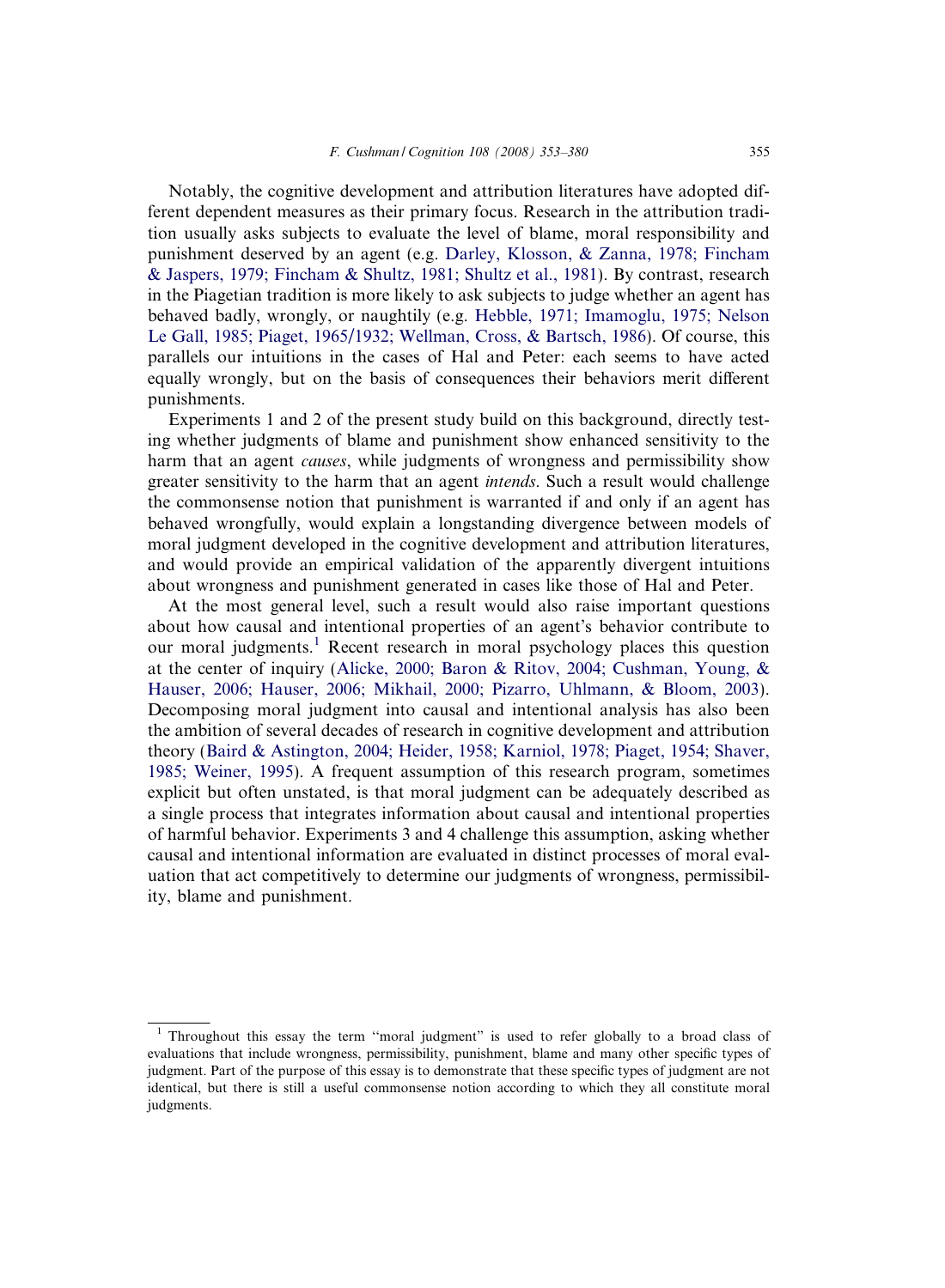Notably, the cognitive development and attribution literatures have adopted different dependent measures as their primary focus. Research in the attribution tradition usually asks subjects to evaluate the level of blame, moral responsibility and punishment deserved by an agent (e.g. [Darley, Klosson, & Zanna, 1978; Fincham](#page-26-0) [& Jaspers, 1979; Fincham & Shultz, 1981; Shultz et al., 1981](#page-26-0)). By contrast, research in the Piagetian tradition is more likely to ask subjects to judge whether an agent has behaved badly, wrongly, or naughtily (e.g. [Hebble, 1971; Imamoglu, 1975; Nelson](#page-26-0) [Le Gall, 1985; Piaget, 1965/1932; Wellman, Cross, & Bartsch, 1986](#page-26-0)). Of course, this parallels our intuitions in the cases of Hal and Peter: each seems to have acted equally wrongly, but on the basis of consequences their behaviors merit different punishments.

Experiments 1 and 2 of the present study build on this background, directly testing whether judgments of blame and punishment show enhanced sensitivity to the harm that an agent *causes*, while judgments of wrongness and permissibility show greater sensitivity to the harm that an agent *intends*. Such a result would challenge the commonsense notion that punishment is warranted if and only if an agent has behaved wrongfully, would explain a longstanding divergence between models of moral judgment developed in the cognitive development and attribution literatures, and would provide an empirical validation of the apparently divergent intuitions about wrongness and punishment generated in cases like those of Hal and Peter.

At the most general level, such a result would also raise important questions about how causal and intentional properties of an agent's behavior contribute to our moral judgments.<sup>1</sup> Recent research in moral psychology places this question at the center of inquiry [\(Alicke, 2000; Baron & Ritov, 2004; Cushman, Young, &](#page-26-0) [Hauser, 2006; Hauser, 2006; Mikhail, 2000; Pizarro, Uhlmann, & Bloom, 2003\)](#page-26-0). Decomposing moral judgment into causal and intentional analysis has also been the ambition of several decades of research in cognitive development and attribution theory ([Baird & Astington, 2004; Heider, 1958; Karniol, 1978; Piaget, 1954; Shaver,](#page-26-0) [1985; Weiner, 1995](#page-26-0)). A frequent assumption of this research program, sometimes explicit but often unstated, is that moral judgment can be adequately described as a single process that integrates information about causal and intentional properties of harmful behavior. Experiments 3 and 4 challenge this assumption, asking whether causal and intentional information are evaluated in distinct processes of moral evaluation that act competitively to determine our judgments of wrongness, permissibility, blame and punishment.

<sup>&</sup>lt;sup>1</sup> Throughout this essay the term "moral judgment" is used to refer globally to a broad class of evaluations that include wrongness, permissibility, punishment, blame and many other specific types of judgment. Part of the purpose of this essay is to demonstrate that these specific types of judgment are not identical, but there is still a useful commonsense notion according to which they all constitute moral judgments.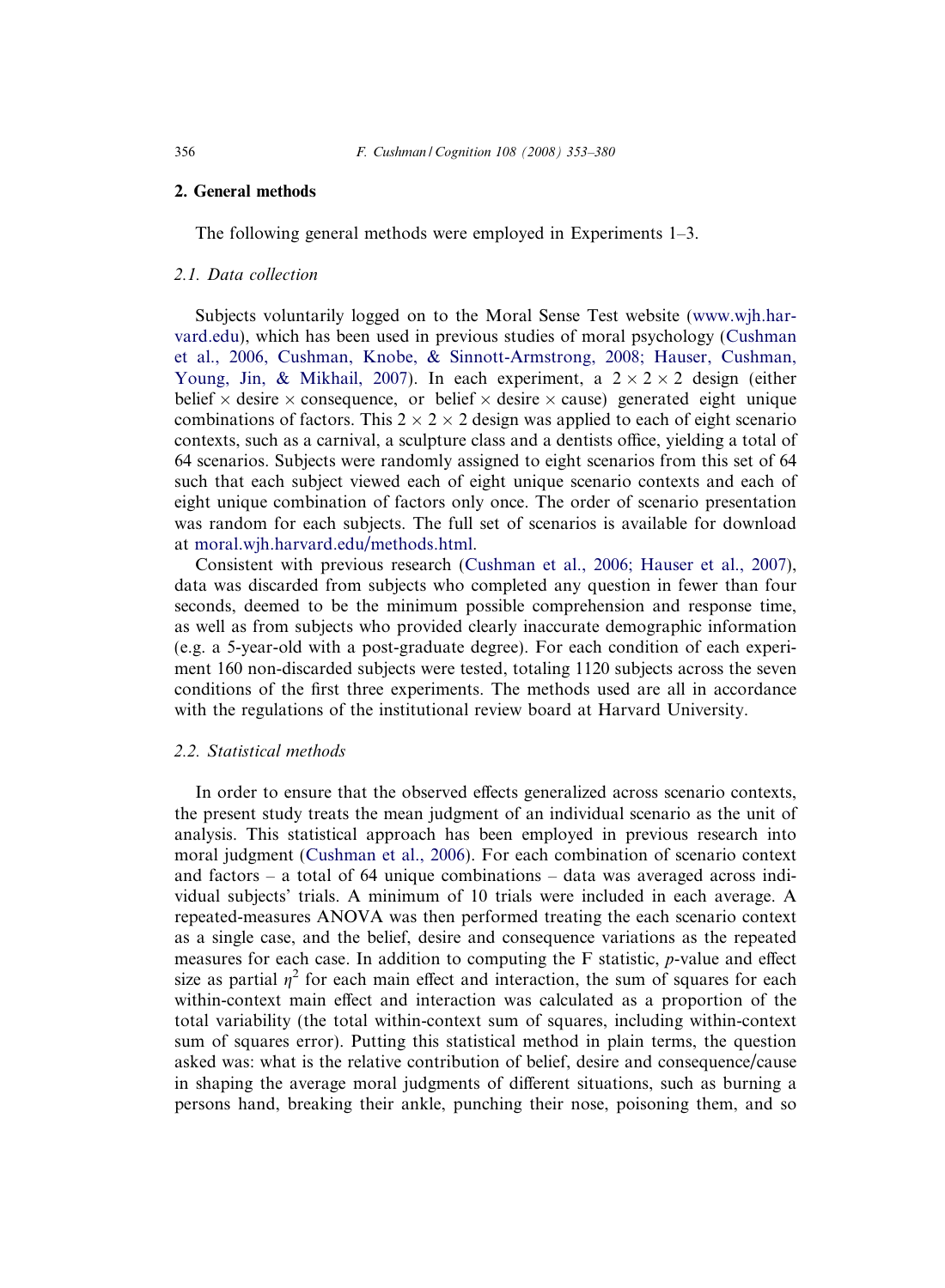#### 2. General methods

The following general methods were employed in Experiments 1–3.

#### 2.1. Data collection

Subjects voluntarily logged on to the Moral Sense Test website [\(www.wjh.har](http://www.wjh.harvard.edu)[vard.edu\)](http://www.wjh.harvard.edu), which has been used in previous studies of moral psychology [\(Cushman](#page-26-0) [et al., 2006, Cushman, Knobe, & Sinnott-Armstrong, 2008; Hauser, Cushman,](#page-26-0) [Young, Jin, & Mikhail, 2007\)](#page-26-0). In each experiment, a  $2 \times 2 \times 2$  design (either belief  $\times$  desire  $\times$  consequence, or belief  $\times$  desire  $\times$  cause) generated eight unique combinations of factors. This  $2 \times 2 \times 2$  design was applied to each of eight scenario contexts, such as a carnival, a sculpture class and a dentists office, yielding a total of 64 scenarios. Subjects were randomly assigned to eight scenarios from this set of 64 such that each subject viewed each of eight unique scenario contexts and each of eight unique combination of factors only once. The order of scenario presentation was random for each subjects. The full set of scenarios is available for download at [moral.wjh.harvard.edu/methods.html](http://moral.wjh.harvard.edu/methods.html).

Consistent with previous research ([Cushman et al., 2006; Hauser et al., 2007](#page-26-0)), data was discarded from subjects who completed any question in fewer than four seconds, deemed to be the minimum possible comprehension and response time, as well as from subjects who provided clearly inaccurate demographic information (e.g. a 5-year-old with a post-graduate degree). For each condition of each experiment 160 non-discarded subjects were tested, totaling 1120 subjects across the seven conditions of the first three experiments. The methods used are all in accordance with the regulations of the institutional review board at Harvard University.

#### 2.2. Statistical methods

In order to ensure that the observed effects generalized across scenario contexts, the present study treats the mean judgment of an individual scenario as the unit of analysis. This statistical approach has been employed in previous research into moral judgment [\(Cushman et al., 2006](#page-26-0)). For each combination of scenario context and factors – a total of 64 unique combinations – data was averaged across individual subjects' trials. A minimum of 10 trials were included in each average. A repeated-measures ANOVA was then performed treating the each scenario context as a single case, and the belief, desire and consequence variations as the repeated measures for each case. In addition to computing the F statistic, p-value and effect size as partial  $\eta^2$  for each main effect and interaction, the sum of squares for each within-context main effect and interaction was calculated as a proportion of the total variability (the total within-context sum of squares, including within-context sum of squares error). Putting this statistical method in plain terms, the question asked was: what is the relative contribution of belief, desire and consequence/cause in shaping the average moral judgments of different situations, such as burning a persons hand, breaking their ankle, punching their nose, poisoning them, and so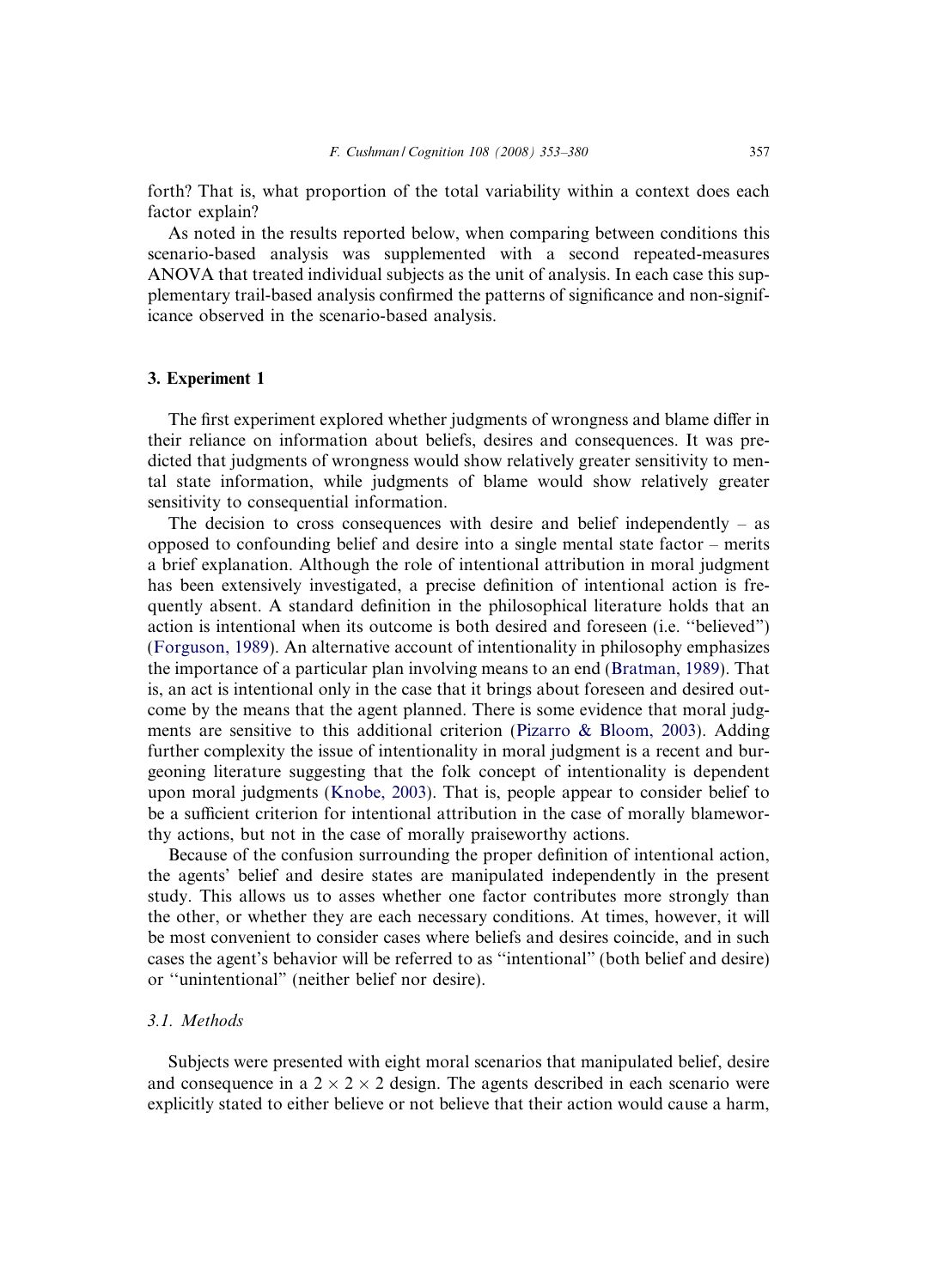forth? That is, what proportion of the total variability within a context does each factor explain?

As noted in the results reported below, when comparing between conditions this scenario-based analysis was supplemented with a second repeated-measures ANOVA that treated individual subjects as the unit of analysis. In each case this supplementary trail-based analysis confirmed the patterns of significance and non-significance observed in the scenario-based analysis.

### 3. Experiment 1

The first experiment explored whether judgments of wrongness and blame differ in their reliance on information about beliefs, desires and consequences. It was predicted that judgments of wrongness would show relatively greater sensitivity to mental state information, while judgments of blame would show relatively greater sensitivity to consequential information.

The decision to cross consequences with desire and belief independently  $-$  as opposed to confounding belief and desire into a single mental state factor – merits a brief explanation. Although the role of intentional attribution in moral judgment has been extensively investigated, a precise definition of intentional action is frequently absent. A standard definition in the philosophical literature holds that an action is intentional when its outcome is both desired and foreseen (i.e. ''believed") [\(Forguson, 1989](#page-26-0)). An alternative account of intentionality in philosophy emphasizes the importance of a particular plan involving means to an end [\(Bratman, 1989\)](#page-26-0). That is, an act is intentional only in the case that it brings about foreseen and desired outcome by the means that the agent planned. There is some evidence that moral judgments are sensitive to this additional criterion ([Pizarro & Bloom, 2003](#page-27-0)). Adding further complexity the issue of intentionality in moral judgment is a recent and burgeoning literature suggesting that the folk concept of intentionality is dependent upon moral judgments [\(Knobe, 2003\)](#page-27-0). That is, people appear to consider belief to be a sufficient criterion for intentional attribution in the case of morally blameworthy actions, but not in the case of morally praiseworthy actions.

Because of the confusion surrounding the proper definition of intentional action, the agents' belief and desire states are manipulated independently in the present study. This allows us to asses whether one factor contributes more strongly than the other, or whether they are each necessary conditions. At times, however, it will be most convenient to consider cases where beliefs and desires coincide, and in such cases the agent's behavior will be referred to as ''intentional" (both belief and desire) or ''unintentional" (neither belief nor desire).

#### 3.1. Methods

Subjects were presented with eight moral scenarios that manipulated belief, desire and consequence in a  $2 \times 2 \times 2$  design. The agents described in each scenario were explicitly stated to either believe or not believe that their action would cause a harm,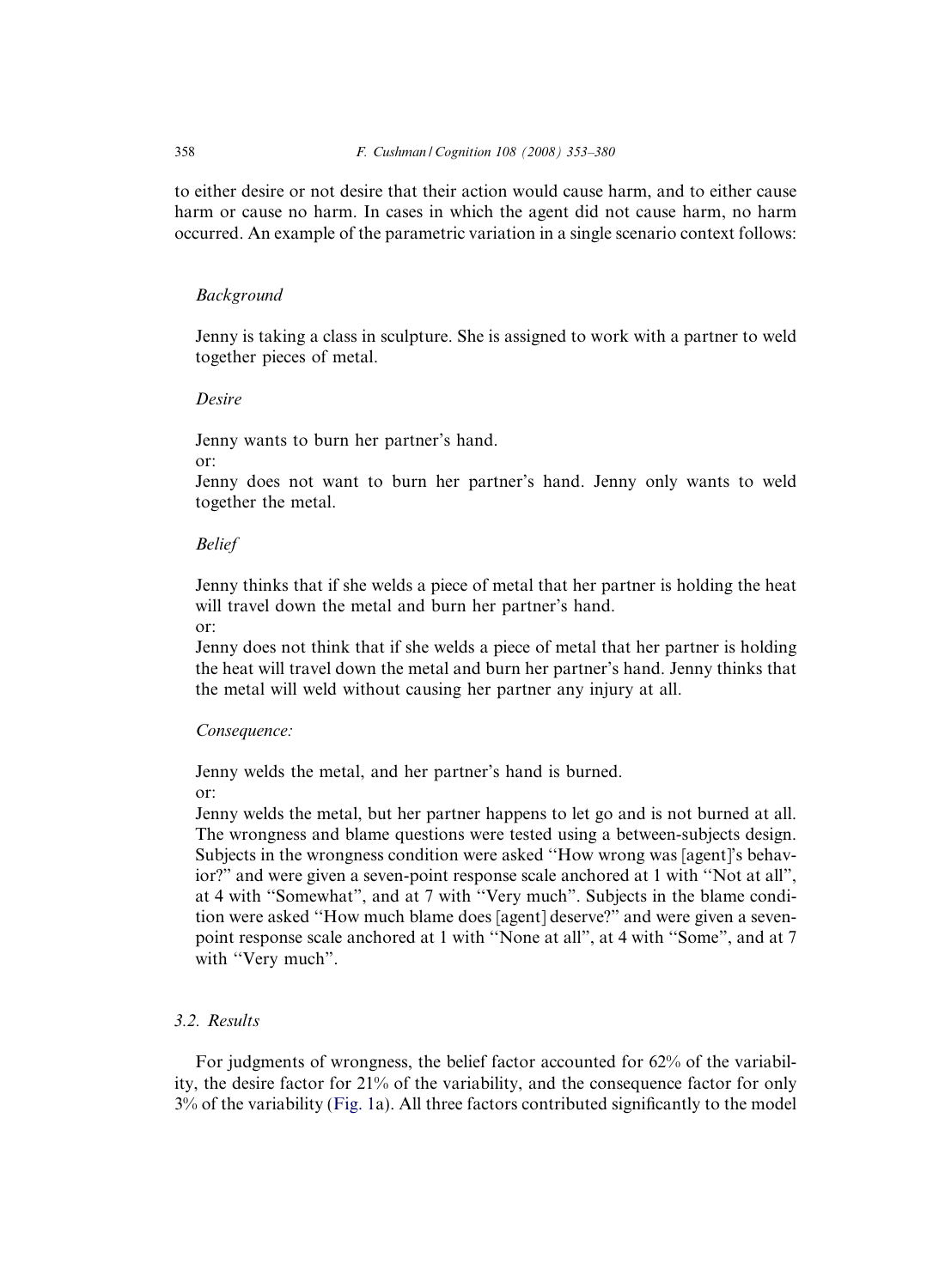to either desire or not desire that their action would cause harm, and to either cause harm or cause no harm. In cases in which the agent did not cause harm, no harm occurred. An example of the parametric variation in a single scenario context follows:

# **Background**

Jenny is taking a class in sculpture. She is assigned to work with a partner to weld together pieces of metal.

#### Desire

Jenny wants to burn her partner's hand.

or:

Jenny does not want to burn her partner's hand. Jenny only wants to weld together the metal.

#### Belief

Jenny thinks that if she welds a piece of metal that her partner is holding the heat will travel down the metal and burn her partner's hand.

or:

Jenny does not think that if she welds a piece of metal that her partner is holding the heat will travel down the metal and burn her partner's hand. Jenny thinks that the metal will weld without causing her partner any injury at all.

#### Consequence:

Jenny welds the metal, and her partner's hand is burned.

or:

Jenny welds the metal, but her partner happens to let go and is not burned at all. The wrongness and blame questions were tested using a between-subjects design. Subjects in the wrongness condition were asked ''How wrong was [agent]'s behavior?" and were given a seven-point response scale anchored at 1 with ''Not at all", at 4 with ''Somewhat", and at 7 with ''Very much". Subjects in the blame condition were asked ''How much blame does [agent] deserve?" and were given a sevenpoint response scale anchored at 1 with ''None at all", at 4 with ''Some", and at 7 with "Very much".

# 3.2. Results

For judgments of wrongness, the belief factor accounted for 62% of the variability, the desire factor for 21% of the variability, and the consequence factor for only 3% of the variability [\(Fig. 1a](#page-6-0)). All three factors contributed significantly to the model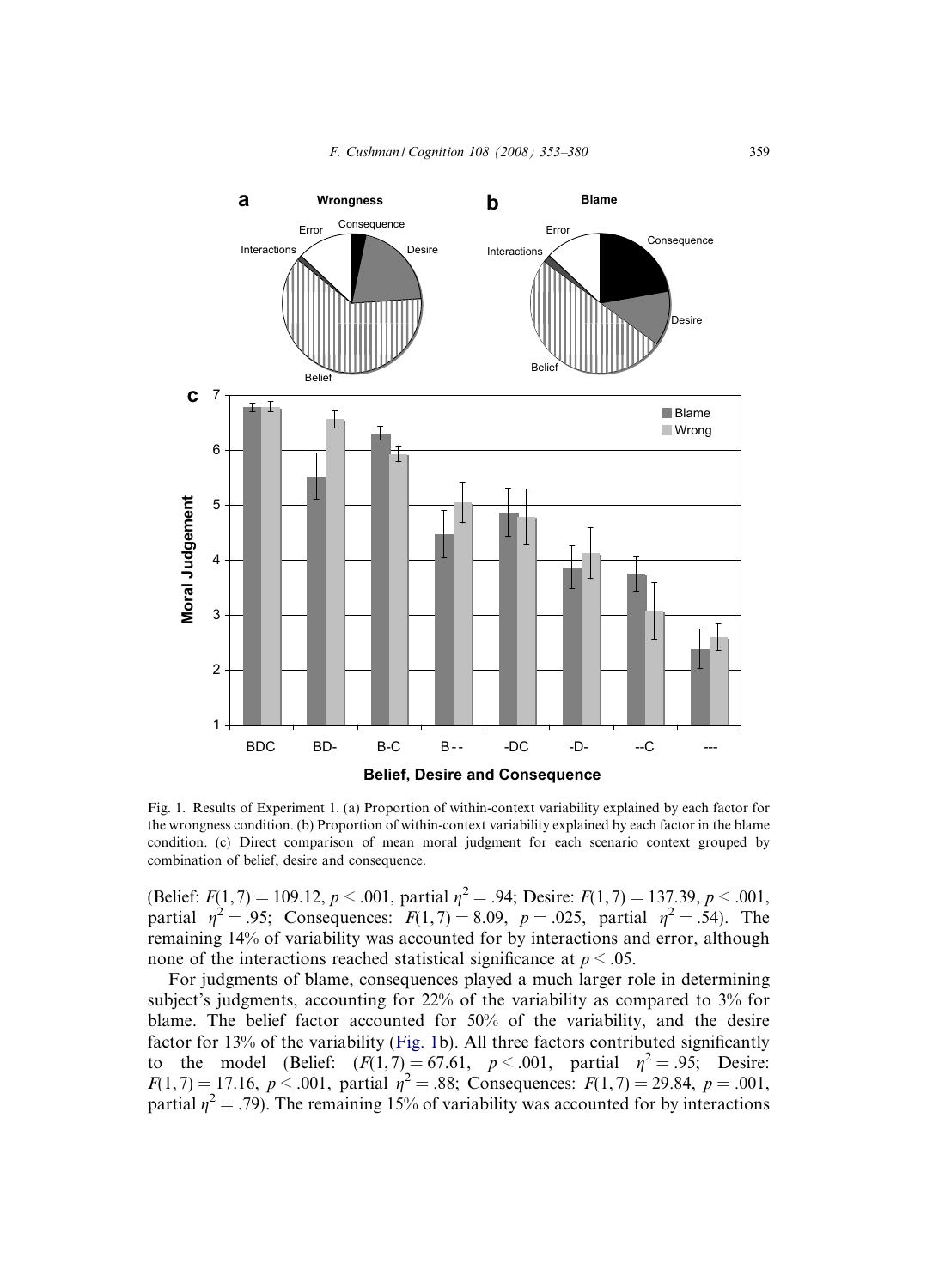<span id="page-6-0"></span>

Fig. 1. Results of Experiment 1. (a) Proportion of within-context variability explained by each factor for the wrongness condition. (b) Proportion of within-context variability explained by each factor in the blame condition. (c) Direct comparison of mean moral judgment for each scenario context grouped by combination of belief, desire and consequence.

(Belief:  $F(1, 7) = 109.12$ ,  $p < .001$ , partial  $\eta^2 = .94$ ; Desire:  $F(1, 7) = 137.39$ ,  $p < .001$ , partial  $\eta^2 = .95$ ; Consequences:  $F(1, 7) = 8.09$ ,  $p = .025$ , partial  $\eta^2 = .54$ ). The remaining 14% of variability was accounted for by interactions and error, although none of the interactions reached statistical significance at  $p < .05$ .

For judgments of blame, consequences played a much larger role in determining subject's judgments, accounting for 22% of the variability as compared to 3% for blame. The belief factor accounted for 50% of the variability, and the desire factor for 13% of the variability (Fig. 1b). All three factors contributed significantly to the model (Belief:  $(F(1, 7) = 67.61, p < .001,$  partial  $\eta^2 = .95$ ; Desire:  $F(1, 7) = 17.16, p < .001$ , partial  $\eta^2 = .88$ ; Consequences:  $F(1, 7) = 29.84, p = .001$ , partial  $\eta^2 = .79$ ). The remaining 15% of variability was accounted for by interactions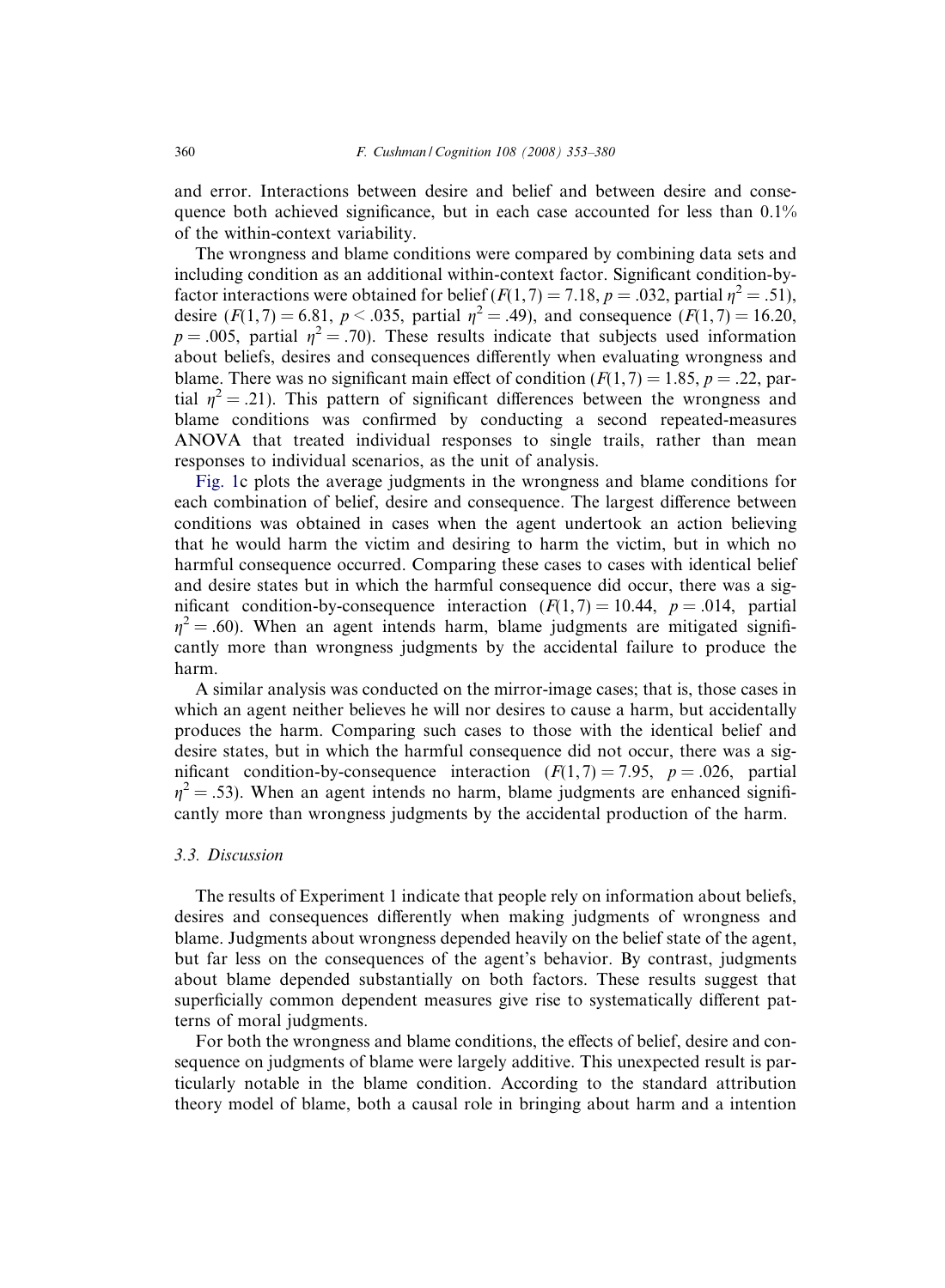and error. Interactions between desire and belief and between desire and consequence both achieved significance, but in each case accounted for less than 0.1% of the within-context variability.

The wrongness and blame conditions were compared by combining data sets and including condition as an additional within-context factor. Significant condition-byfactor interactions were obtained for belief ( $F(1, 7) = 7.18$ ,  $p = .032$ , partial  $n^2 = .51$ ), desire  $(F(1, 7) = 6.81, p < .035,$  partial  $n^2 = .49$ ), and consequence  $(F(1, 7) = 16.20,$  $p = .005$ , partial  $\eta^2 = .70$ ). These results indicate that subjects used information about beliefs, desires and consequences differently when evaluating wrongness and blame. There was no significant main effect of condition  $(F(1, 7) = 1.85, p = .22, \text{par}$ tial  $\eta^2 = .21$ ). This pattern of significant differences between the wrongness and blame conditions was confirmed by conducting a second repeated-measures ANOVA that treated individual responses to single trails, rather than mean responses to individual scenarios, as the unit of analysis.

[Fig. 1](#page-6-0)c plots the average judgments in the wrongness and blame conditions for each combination of belief, desire and consequence. The largest difference between conditions was obtained in cases when the agent undertook an action believing that he would harm the victim and desiring to harm the victim, but in which no harmful consequence occurred. Comparing these cases to cases with identical belief and desire states but in which the harmful consequence did occur, there was a significant condition-by-consequence interaction  $(F(1, 7) = 10.44, p = .014,$  partial  $\eta^2$  = .60). When an agent intends harm, blame judgments are mitigated significantly more than wrongness judgments by the accidental failure to produce the harm.

A similar analysis was conducted on the mirror-image cases; that is, those cases in which an agent neither believes he will nor desires to cause a harm, but accidentally produces the harm. Comparing such cases to those with the identical belief and desire states, but in which the harmful consequence did not occur, there was a significant condition-by-consequence interaction  $(F(1, 7) = 7.95, p = .026,$  partial  $\eta^2$  = .53). When an agent intends no harm, blame judgments are enhanced significantly more than wrongness judgments by the accidental production of the harm.

#### 3.3. Discussion

The results of Experiment 1 indicate that people rely on information about beliefs, desires and consequences differently when making judgments of wrongness and blame. Judgments about wrongness depended heavily on the belief state of the agent, but far less on the consequences of the agent's behavior. By contrast, judgments about blame depended substantially on both factors. These results suggest that superficially common dependent measures give rise to systematically different patterns of moral judgments.

For both the wrongness and blame conditions, the effects of belief, desire and consequence on judgments of blame were largely additive. This unexpected result is particularly notable in the blame condition. According to the standard attribution theory model of blame, both a causal role in bringing about harm and a intention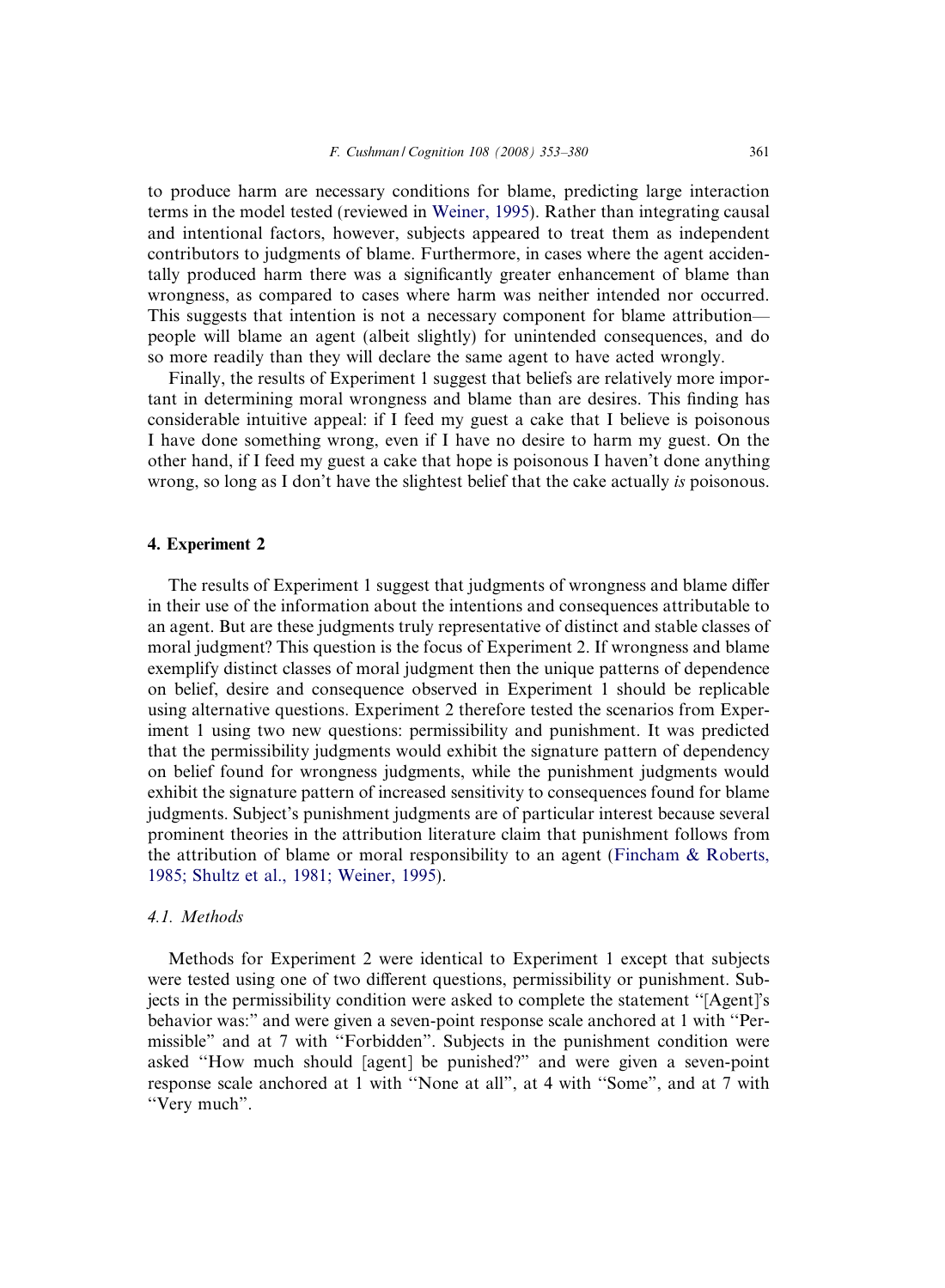to produce harm are necessary conditions for blame, predicting large interaction terms in the model tested (reviewed in [Weiner, 1995](#page-27-0)). Rather than integrating causal and intentional factors, however, subjects appeared to treat them as independent contributors to judgments of blame. Furthermore, in cases where the agent accidentally produced harm there was a significantly greater enhancement of blame than wrongness, as compared to cases where harm was neither intended nor occurred. This suggests that intention is not a necessary component for blame attribution people will blame an agent (albeit slightly) for unintended consequences, and do so more readily than they will declare the same agent to have acted wrongly.

Finally, the results of Experiment 1 suggest that beliefs are relatively more important in determining moral wrongness and blame than are desires. This finding has considerable intuitive appeal: if I feed my guest a cake that I believe is poisonous I have done something wrong, even if I have no desire to harm my guest. On the other hand, if I feed my guest a cake that hope is poisonous I haven't done anything wrong, so long as I don't have the slightest belief that the cake actually is poisonous.

#### 4. Experiment 2

The results of Experiment 1 suggest that judgments of wrongness and blame differ in their use of the information about the intentions and consequences attributable to an agent. But are these judgments truly representative of distinct and stable classes of moral judgment? This question is the focus of Experiment 2. If wrongness and blame exemplify distinct classes of moral judgment then the unique patterns of dependence on belief, desire and consequence observed in Experiment 1 should be replicable using alternative questions. Experiment 2 therefore tested the scenarios from Experiment 1 using two new questions: permissibility and punishment. It was predicted that the permissibility judgments would exhibit the signature pattern of dependency on belief found for wrongness judgments, while the punishment judgments would exhibit the signature pattern of increased sensitivity to consequences found for blame judgments. Subject's punishment judgments are of particular interest because several prominent theories in the attribution literature claim that punishment follows from the attribution of blame or moral responsibility to an agent ([Fincham & Roberts,](#page-26-0) [1985; Shultz et al., 1981; Weiner, 1995](#page-26-0)).

# 4.1. Methods

Methods for Experiment 2 were identical to Experiment 1 except that subjects were tested using one of two different questions, permissibility or punishment. Subjects in the permissibility condition were asked to complete the statement ''[Agent]'s behavior was:" and were given a seven-point response scale anchored at 1 with ''Permissible" and at 7 with ''Forbidden". Subjects in the punishment condition were asked ''How much should [agent] be punished?" and were given a seven-point response scale anchored at 1 with ''None at all", at 4 with ''Some", and at 7 with ''Very much".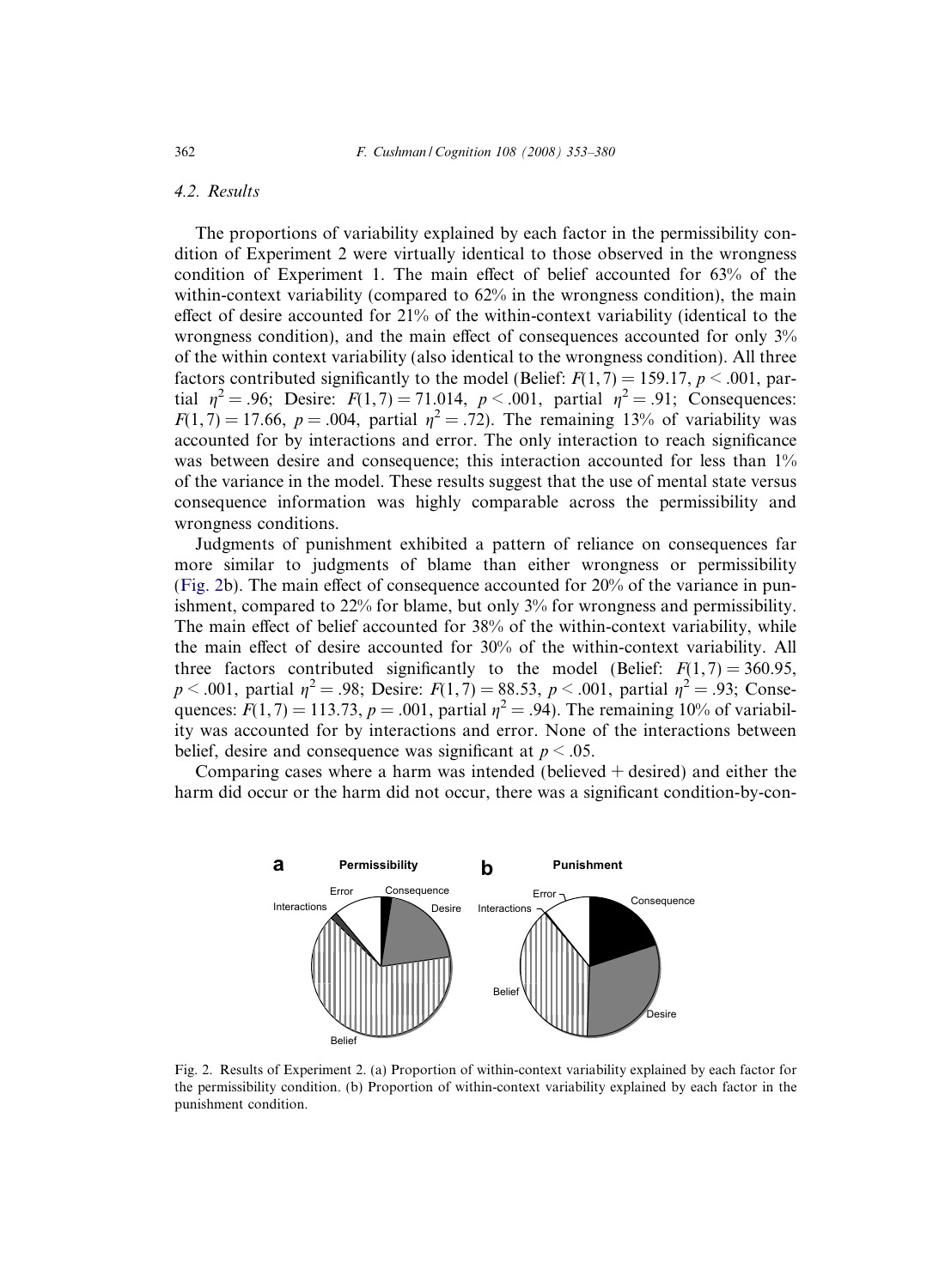#### 4.2. Results

The proportions of variability explained by each factor in the permissibility condition of Experiment 2 were virtually identical to those observed in the wrongness condition of Experiment 1. The main effect of belief accounted for 63% of the within-context variability (compared to  $62\%$  in the wrongness condition), the main effect of desire accounted for 21% of the within-context variability (identical to the wrongness condition), and the main effect of consequences accounted for only 3% of the within context variability (also identical to the wrongness condition). All three factors contributed significantly to the model (Belief:  $F(1, 7) = 159.17$ ,  $p < .001$ , partial  $\eta^2 = .96$ ; Desire:  $F(1, 7) = 71.014$ ,  $p < .001$ , partial  $\eta^2 = .91$ ; Consequences:  $F(1, 7) = 17.66$ ,  $p = .004$ , partial  $\eta^2 = .72$ ). The remaining 13% of variability was accounted for by interactions and error. The only interaction to reach significance was between desire and consequence; this interaction accounted for less than  $1\%$ of the variance in the model. These results suggest that the use of mental state versus consequence information was highly comparable across the permissibility and wrongness conditions.

Judgments of punishment exhibited a pattern of reliance on consequences far more similar to judgments of blame than either wrongness or permissibility (Fig. 2b). The main effect of consequence accounted for 20% of the variance in punishment, compared to 22% for blame, but only 3% for wrongness and permissibility. The main effect of belief accounted for 38% of the within-context variability, while the main effect of desire accounted for 30% of the within-context variability. All three factors contributed significantly to the model (Belief:  $F(1, 7) = 360.95$ ,  $p < .001$ , partial  $\eta^2 = .98$ ; Desire:  $F(1, 7) = 88.53$ ,  $p < .001$ , partial  $\eta^2 = .93$ ; Consequences:  $F(1, 7) = 113.73$ ,  $p = .001$ , partial  $\eta^2 = .94$ ). The remaining 10% of variability was accounted for by interactions and error. None of the interactions between belief, desire and consequence was significant at  $p < .05$ .

Comparing cases where a harm was intended (believed  $+$  desired) and either the harm did occur or the harm did not occur, there was a significant condition-by-con-



Fig. 2. Results of Experiment 2. (a) Proportion of within-context variability explained by each factor for the permissibility condition. (b) Proportion of within-context variability explained by each factor in the punishment condition.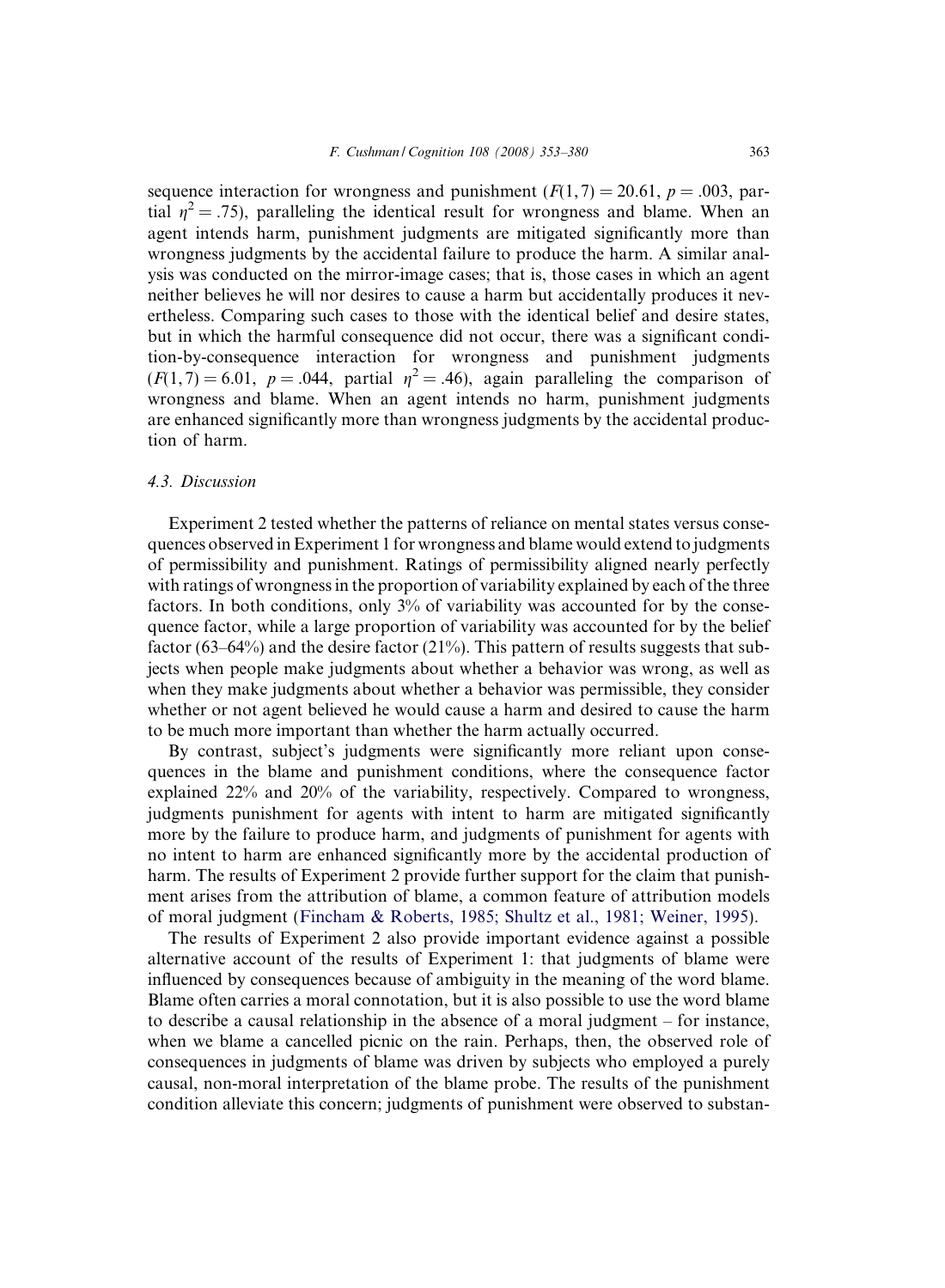sequence interaction for wrongness and punishment  $(F(1, 7) = 20.61, p = .003,$  partial  $\eta^2 = .75$ ), paralleling the identical result for wrongness and blame. When an agent intends harm, punishment judgments are mitigated significantly more than wrongness judgments by the accidental failure to produce the harm. A similar analysis was conducted on the mirror-image cases; that is, those cases in which an agent neither believes he will nor desires to cause a harm but accidentally produces it nevertheless. Comparing such cases to those with the identical belief and desire states, but in which the harmful consequence did not occur, there was a significant condition-by-consequence interaction for wrongness and punishment judgments  $(F(1, 7) = 6.01, p = .044$ , partial  $\eta^2 = .46$ ), again paralleling the comparison of wrongness and blame. When an agent intends no harm, punishment judgments are enhanced significantly more than wrongness judgments by the accidental production of harm.

#### 4.3. Discussion

Experiment 2 tested whether the patterns of reliance on mental states versus consequences observed in Experiment 1 for wrongness and blame would extend to judgments of permissibility and punishment. Ratings of permissibility aligned nearly perfectly with ratings of wrongness in the proportion of variability explained by each of the three factors. In both conditions, only 3% of variability was accounted for by the consequence factor, while a large proportion of variability was accounted for by the belief factor (63–64%) and the desire factor (21%). This pattern of results suggests that subjects when people make judgments about whether a behavior was wrong, as well as when they make judgments about whether a behavior was permissible, they consider whether or not agent believed he would cause a harm and desired to cause the harm to be much more important than whether the harm actually occurred.

By contrast, subject's judgments were significantly more reliant upon consequences in the blame and punishment conditions, where the consequence factor explained 22% and 20% of the variability, respectively. Compared to wrongness, judgments punishment for agents with intent to harm are mitigated significantly more by the failure to produce harm, and judgments of punishment for agents with no intent to harm are enhanced significantly more by the accidental production of harm. The results of Experiment 2 provide further support for the claim that punishment arises from the attribution of blame, a common feature of attribution models of moral judgment ([Fincham & Roberts, 1985; Shultz et al., 1981; Weiner, 1995](#page-26-0)).

The results of Experiment 2 also provide important evidence against a possible alternative account of the results of Experiment 1: that judgments of blame were influenced by consequences because of ambiguity in the meaning of the word blame. Blame often carries a moral connotation, but it is also possible to use the word blame to describe a causal relationship in the absence of a moral judgment – for instance, when we blame a cancelled picnic on the rain. Perhaps, then, the observed role of consequences in judgments of blame was driven by subjects who employed a purely causal, non-moral interpretation of the blame probe. The results of the punishment condition alleviate this concern; judgments of punishment were observed to substan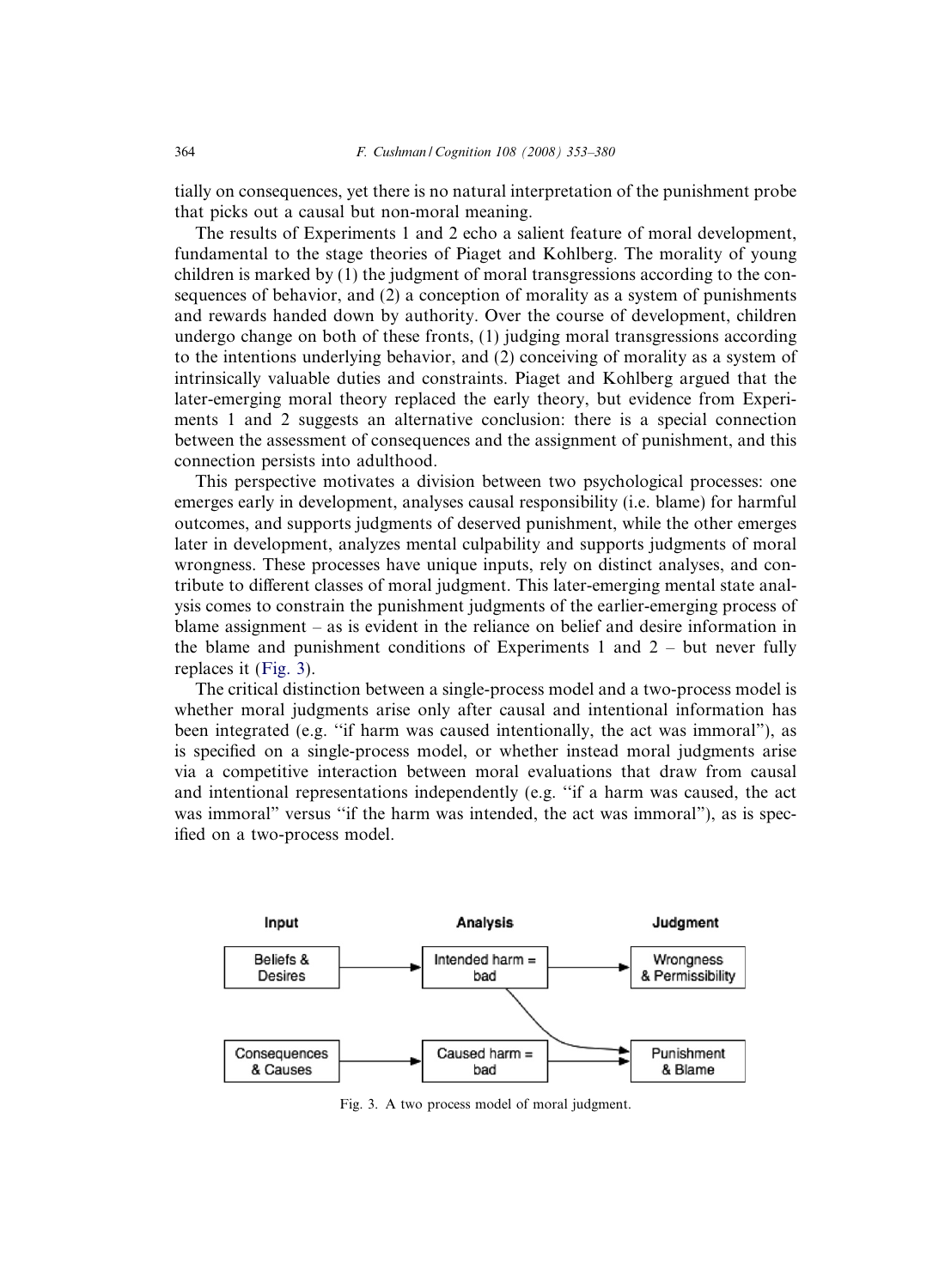tially on consequences, yet there is no natural interpretation of the punishment probe that picks out a causal but non-moral meaning.

The results of Experiments 1 and 2 echo a salient feature of moral development, fundamental to the stage theories of Piaget and Kohlberg. The morality of young children is marked by (1) the judgment of moral transgressions according to the consequences of behavior, and (2) a conception of morality as a system of punishments and rewards handed down by authority. Over the course of development, children undergo change on both of these fronts, (1) judging moral transgressions according to the intentions underlying behavior, and (2) conceiving of morality as a system of intrinsically valuable duties and constraints. Piaget and Kohlberg argued that the later-emerging moral theory replaced the early theory, but evidence from Experiments 1 and 2 suggests an alternative conclusion: there is a special connection between the assessment of consequences and the assignment of punishment, and this connection persists into adulthood.

This perspective motivates a division between two psychological processes: one emerges early in development, analyses causal responsibility (i.e. blame) for harmful outcomes, and supports judgments of deserved punishment, while the other emerges later in development, analyzes mental culpability and supports judgments of moral wrongness. These processes have unique inputs, rely on distinct analyses, and contribute to different classes of moral judgment. This later-emerging mental state analysis comes to constrain the punishment judgments of the earlier-emerging process of blame assignment – as is evident in the reliance on belief and desire information in the blame and punishment conditions of Experiments 1 and  $2 -$  but never fully replaces it (Fig. 3).

The critical distinction between a single-process model and a two-process model is whether moral judgments arise only after causal and intentional information has been integrated (e.g. ''if harm was caused intentionally, the act was immoral"), as is specified on a single-process model, or whether instead moral judgments arise via a competitive interaction between moral evaluations that draw from causal and intentional representations independently (e.g. ''if a harm was caused, the act was immoral" versus "if the harm was intended, the act was immoral"), as is specified on a two-process model.



Fig. 3. A two process model of moral judgment.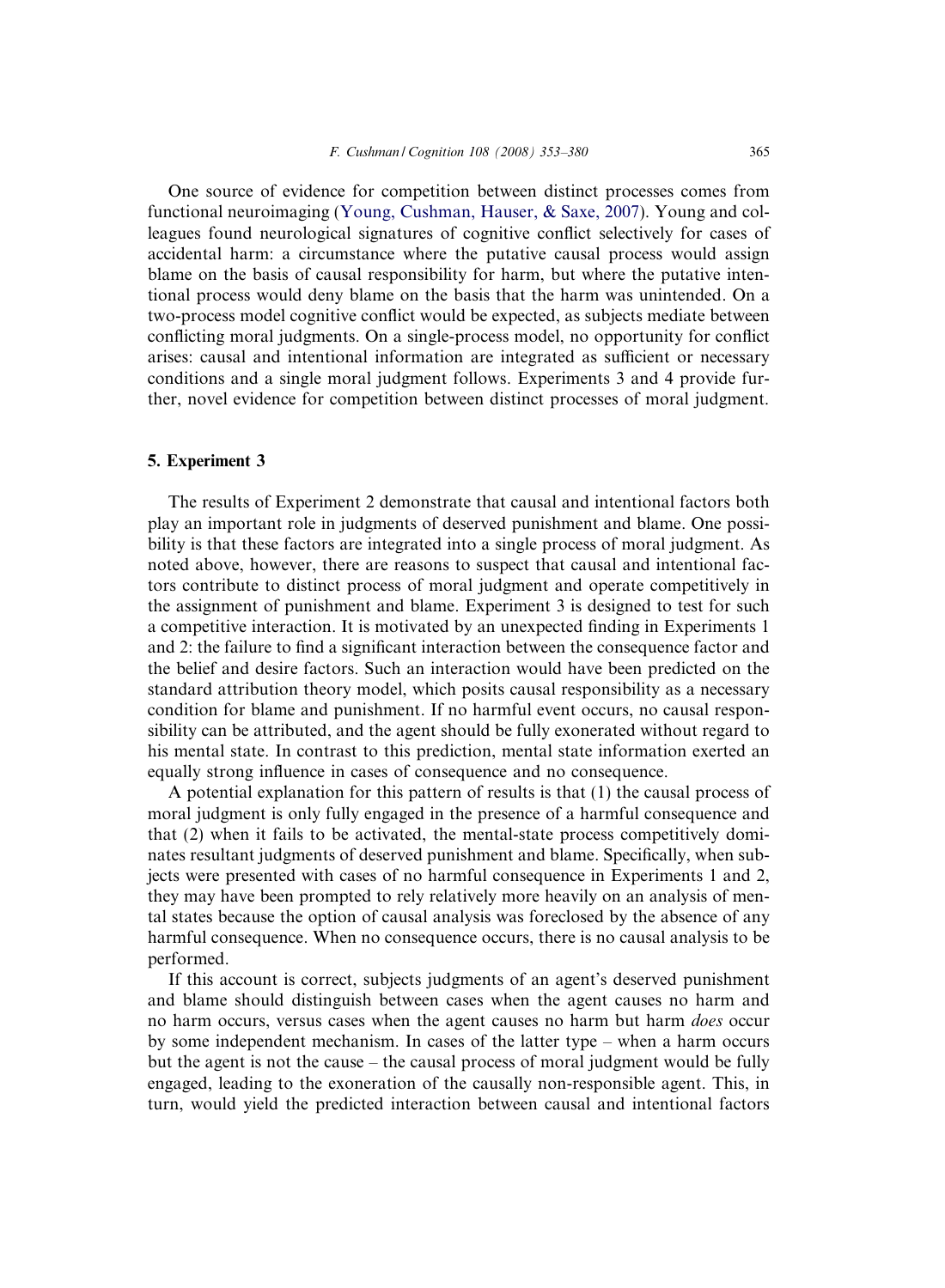One source of evidence for competition between distinct processes comes from functional neuroimaging [\(Young, Cushman, Hauser, & Saxe, 2007\)](#page-27-0). Young and colleagues found neurological signatures of cognitive conflict selectively for cases of accidental harm: a circumstance where the putative causal process would assign blame on the basis of causal responsibility for harm, but where the putative intentional process would deny blame on the basis that the harm was unintended. On a two-process model cognitive conflict would be expected, as subjects mediate between conflicting moral judgments. On a single-process model, no opportunity for conflict arises: causal and intentional information are integrated as sufficient or necessary conditions and a single moral judgment follows. Experiments 3 and 4 provide further, novel evidence for competition between distinct processes of moral judgment.

#### 5. Experiment 3

The results of Experiment 2 demonstrate that causal and intentional factors both play an important role in judgments of deserved punishment and blame. One possibility is that these factors are integrated into a single process of moral judgment. As noted above, however, there are reasons to suspect that causal and intentional factors contribute to distinct process of moral judgment and operate competitively in the assignment of punishment and blame. Experiment 3 is designed to test for such a competitive interaction. It is motivated by an unexpected finding in Experiments 1 and 2: the failure to find a significant interaction between the consequence factor and the belief and desire factors. Such an interaction would have been predicted on the standard attribution theory model, which posits causal responsibility as a necessary condition for blame and punishment. If no harmful event occurs, no causal responsibility can be attributed, and the agent should be fully exonerated without regard to his mental state. In contrast to this prediction, mental state information exerted an equally strong influence in cases of consequence and no consequence.

A potential explanation for this pattern of results is that (1) the causal process of moral judgment is only fully engaged in the presence of a harmful consequence and that (2) when it fails to be activated, the mental-state process competitively dominates resultant judgments of deserved punishment and blame. Specifically, when subjects were presented with cases of no harmful consequence in Experiments 1 and 2, they may have been prompted to rely relatively more heavily on an analysis of mental states because the option of causal analysis was foreclosed by the absence of any harmful consequence. When no consequence occurs, there is no causal analysis to be performed.

If this account is correct, subjects judgments of an agent's deserved punishment and blame should distinguish between cases when the agent causes no harm and no harm occurs, versus cases when the agent causes no harm but harm *does* occur by some independent mechanism. In cases of the latter type – when a harm occurs but the agent is not the cause – the causal process of moral judgment would be fully engaged, leading to the exoneration of the causally non-responsible agent. This, in turn, would yield the predicted interaction between causal and intentional factors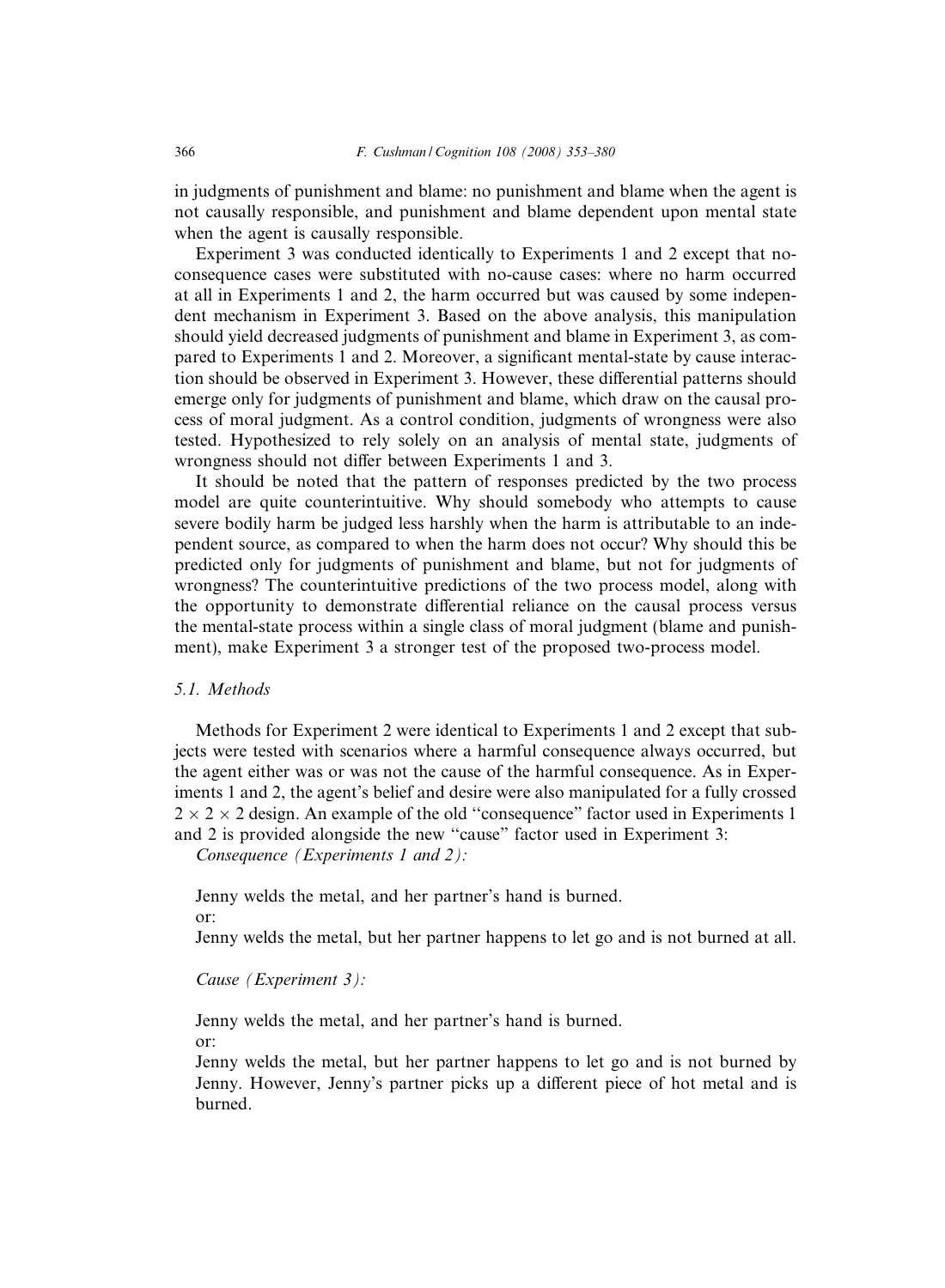in judgments of punishment and blame: no punishment and blame when the agent is not causally responsible, and punishment and blame dependent upon mental state when the agent is causally responsible.

Experiment 3 was conducted identically to Experiments 1 and 2 except that noconsequence cases were substituted with no-cause cases: where no harm occurred at all in Experiments 1 and 2, the harm occurred but was caused by some independent mechanism in Experiment 3. Based on the above analysis, this manipulation should yield decreased judgments of punishment and blame in Experiment 3, as compared to Experiments 1 and 2. Moreover, a significant mental-state by cause interaction should be observed in Experiment 3. However, these differential patterns should emerge only for judgments of punishment and blame, which draw on the causal process of moral judgment. As a control condition, judgments of wrongness were also tested. Hypothesized to rely solely on an analysis of mental state, judgments of wrongness should not differ between Experiments 1 and 3.

It should be noted that the pattern of responses predicted by the two process model are quite counterintuitive. Why should somebody who attempts to cause severe bodily harm be judged less harshly when the harm is attributable to an independent source, as compared to when the harm does not occur? Why should this be predicted only for judgments of punishment and blame, but not for judgments of wrongness? The counterintuitive predictions of the two process model, along with the opportunity to demonstrate differential reliance on the causal process versus the mental-state process within a single class of moral judgment (blame and punishment), make Experiment 3 a stronger test of the proposed two-process model.

#### 5.1. Methods

Methods for Experiment 2 were identical to Experiments 1 and 2 except that subjects were tested with scenarios where a harmful consequence always occurred, but the agent either was or was not the cause of the harmful consequence. As in Experiments 1 and 2, the agent's belief and desire were also manipulated for a fully crossed  $2 \times 2 \times 2$  design. An example of the old "consequence" factor used in Experiments 1 and 2 is provided alongside the new ''cause" factor used in Experiment 3:

Consequence (Experiments 1 and 2):

Jenny welds the metal, and her partner's hand is burned. or:

Jenny welds the metal, but her partner happens to let go and is not burned at all.

#### Cause (Experiment 3):

Jenny welds the metal, and her partner's hand is burned.

or:

Jenny welds the metal, but her partner happens to let go and is not burned by Jenny. However, Jenny's partner picks up a different piece of hot metal and is burned.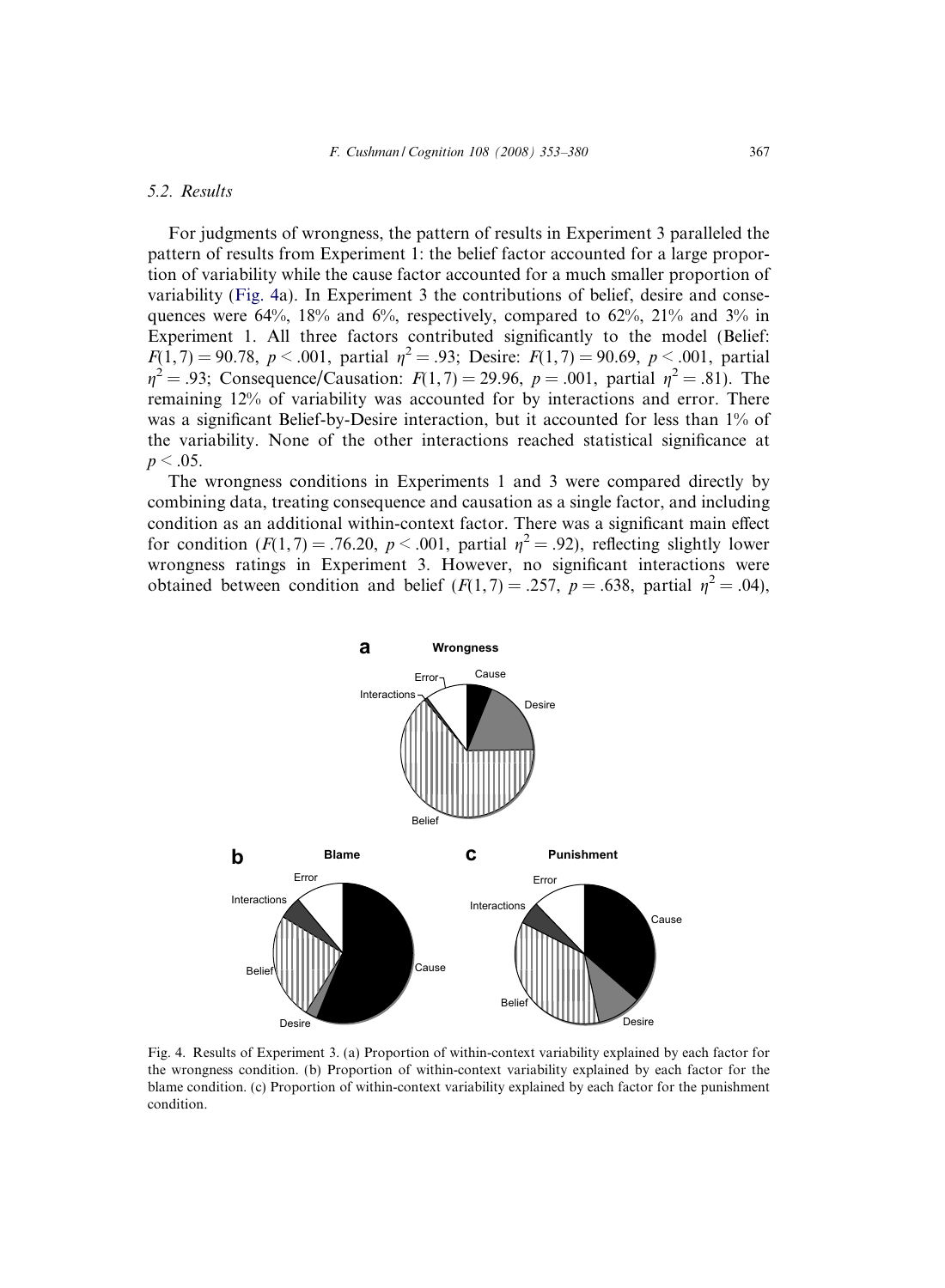#### <span id="page-14-0"></span>5.2. Results

For judgments of wrongness, the pattern of results in Experiment 3 paralleled the pattern of results from Experiment 1: the belief factor accounted for a large proportion of variability while the cause factor accounted for a much smaller proportion of variability (Fig. 4a). In Experiment 3 the contributions of belief, desire and consequences were  $64\%$ ,  $18\%$  and  $6\%$ , respectively, compared to  $62\%$ ,  $21\%$  and  $3\%$  in Experiment 1. All three factors contributed significantly to the model (Belief:  $F(1, 7) = 90.78$ ,  $p < .001$ , partial  $\eta^2 = .93$ ; Desire:  $F(1, 7) = 90.69$ ,  $p < .001$ , partial  $\eta^2 = .93$ ; Consequence/Causation:  $F(1, 7) = 29.96$ ,  $p = .001$ , partial  $\eta^2 = .81$ ). The remaining 12% of variability was accounted for by interactions and error. There was a significant Belief-by-Desire interaction, but it accounted for less than 1% of the variability. None of the other interactions reached statistical significance at  $p < .05$ .

The wrongness conditions in Experiments 1 and 3 were compared directly by combining data, treating consequence and causation as a single factor, and including condition as an additional within-context factor. There was a significant main effect for condition ( $F(1, 7) = .76.20$ ,  $p < .001$ , partial  $\eta^2 = .92$ ), reflecting slightly lower wrongness ratings in Experiment 3. However, no significant interactions were obtained between condition and belief  $(F(1, 7) = .257, p = .638,$  partial  $\eta^2 = .04$ ),



Fig. 4. Results of Experiment 3. (a) Proportion of within-context variability explained by each factor for the wrongness condition. (b) Proportion of within-context variability explained by each factor for the blame condition. (c) Proportion of within-context variability explained by each factor for the punishment condition.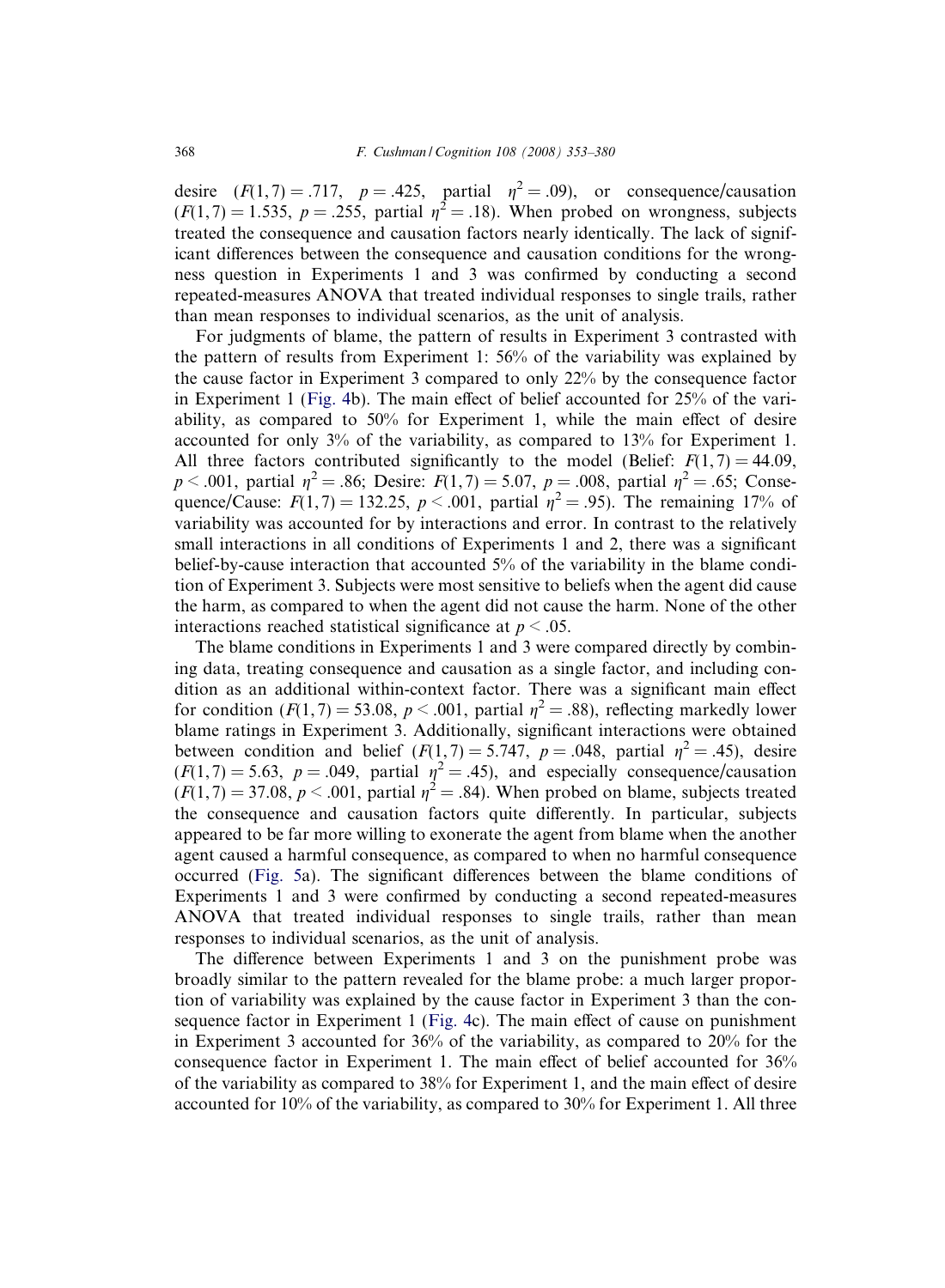desire  $(F(1, 7) = .717, p = .425, partial n<sup>2</sup> = .09)$ , or consequence/causation  $(F(1, 7) = 1.535, p = .255$ , partial  $p^2 = .18$ ). When probed on wrongness, subjects treated the consequence and causation factors nearly identically. The lack of significant differences between the consequence and causation conditions for the wrongness question in Experiments 1 and 3 was confirmed by conducting a second repeated-measures ANOVA that treated individual responses to single trails, rather than mean responses to individual scenarios, as the unit of analysis.

For judgments of blame, the pattern of results in Experiment 3 contrasted with the pattern of results from Experiment 1: 56% of the variability was explained by the cause factor in Experiment 3 compared to only 22% by the consequence factor in Experiment 1 ([Fig. 4](#page-14-0)b). The main effect of belief accounted for 25% of the variability, as compared to 50% for Experiment 1, while the main effect of desire accounted for only 3% of the variability, as compared to 13% for Experiment 1. All three factors contributed significantly to the model (Belief:  $F(1, 7) = 44.09$ ,  $p < .001$ , partial  $\eta^2 = .86$ ; Desire:  $F(1, 7) = 5.07$ ,  $p = .008$ , partial  $\eta^2 = .65$ ; Consequence/Cause:  $F(1, 7) = 132.25$ ,  $p < .001$ , partial  $p^2 = .95$ ). The remaining 17% of variability was accounted for by interactions and error. In contrast to the relatively small interactions in all conditions of Experiments 1 and 2, there was a significant belief-by-cause interaction that accounted 5% of the variability in the blame condition of Experiment 3. Subjects were most sensitive to beliefs when the agent did cause the harm, as compared to when the agent did not cause the harm. None of the other interactions reached statistical significance at  $p < .05$ .

The blame conditions in Experiments 1 and 3 were compared directly by combining data, treating consequence and causation as a single factor, and including condition as an additional within-context factor. There was a significant main effect for condition ( $F(1, 7) = 53.08$ ,  $p < .001$ , partial  $\eta^2 = .88$ ), reflecting markedly lower blame ratings in Experiment 3. Additionally, significant interactions were obtained between condition and belief ( $F(1, 7) = 5.747$ ,  $p = .048$ , partial  $\eta^2 = .45$ ), desire  $(F(1, 7) = 5.63, p = .049,$  partial  $\eta^2 = .45$ ), and especially consequence/causation  $(F(1, 7) = 37.08, p < .001$ , partial  $p^2 = .84$ ). When probed on blame, subjects treated the consequence and causation factors quite differently. In particular, subjects appeared to be far more willing to exonerate the agent from blame when the another agent caused a harmful consequence, as compared to when no harmful consequence occurred ([Fig. 5a](#page-16-0)). The significant differences between the blame conditions of Experiments 1 and 3 were confirmed by conducting a second repeated-measures ANOVA that treated individual responses to single trails, rather than mean responses to individual scenarios, as the unit of analysis.

The difference between Experiments 1 and 3 on the punishment probe was broadly similar to the pattern revealed for the blame probe: a much larger proportion of variability was explained by the cause factor in Experiment 3 than the consequence factor in Experiment 1 ([Fig. 4](#page-14-0)c). The main effect of cause on punishment in Experiment 3 accounted for 36% of the variability, as compared to 20% for the consequence factor in Experiment 1. The main effect of belief accounted for 36% of the variability as compared to 38% for Experiment 1, and the main effect of desire accounted for 10% of the variability, as compared to 30% for Experiment 1. All three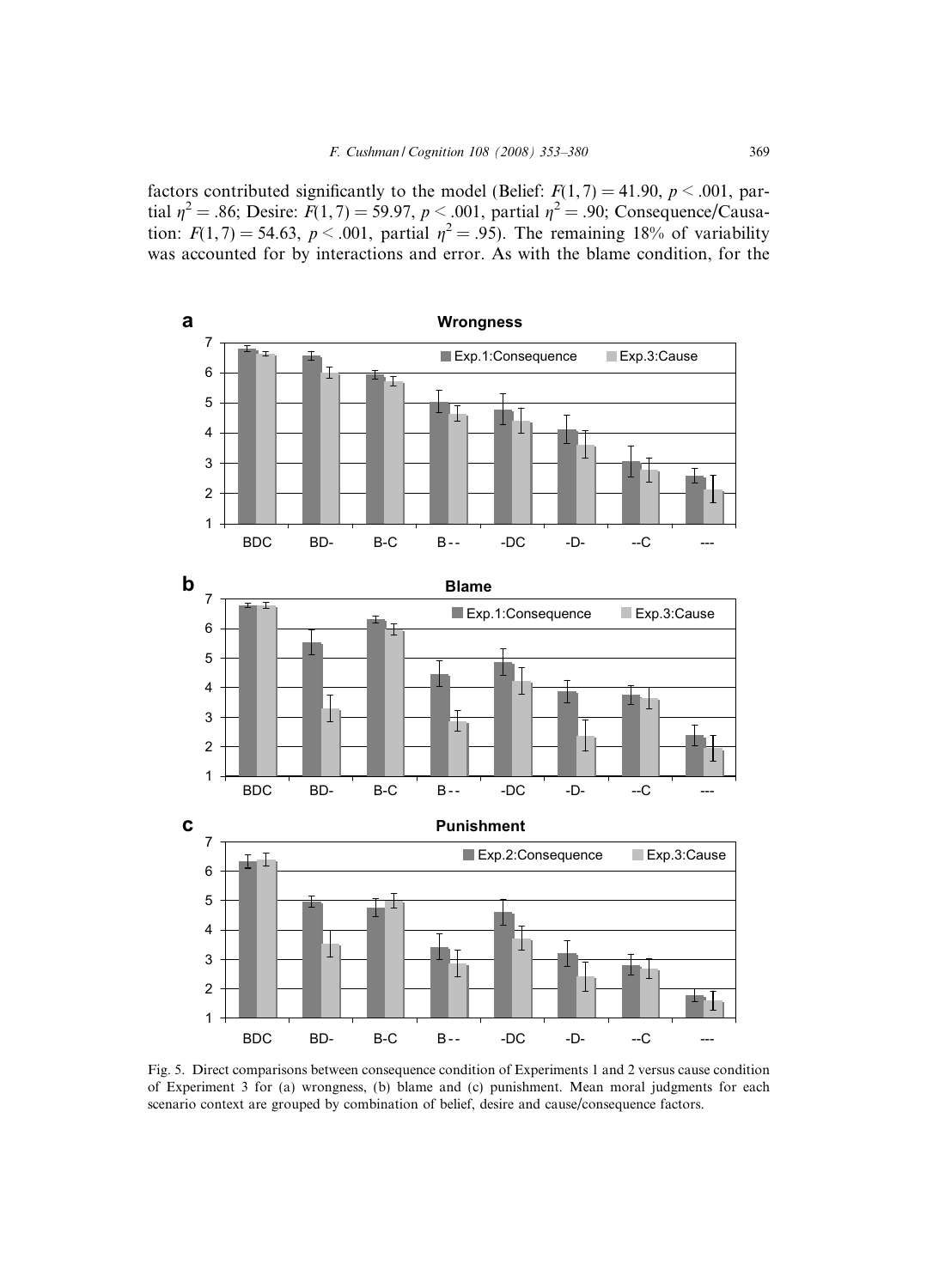<span id="page-16-0"></span>factors contributed significantly to the model (Belief:  $F(1, 7) = 41.90$ ,  $p < .001$ , partial  $\eta^2 = .86$ ; Desire:  $F(1, 7) = 59.97$ ,  $p < .001$ , partial  $\eta^2 = .90$ ; Consequence/Causation:  $F(1, 7) = 54.63$ ,  $p < .001$ , partial  $\eta^2 = .95$ ). The remaining 18% of variability was accounted for by interactions and error. As with the blame condition, for the



Fig. 5. Direct comparisons between consequence condition of Experiments 1 and 2 versus cause condition of Experiment 3 for (a) wrongness, (b) blame and (c) punishment. Mean moral judgments for each scenario context are grouped by combination of belief, desire and cause/consequence factors.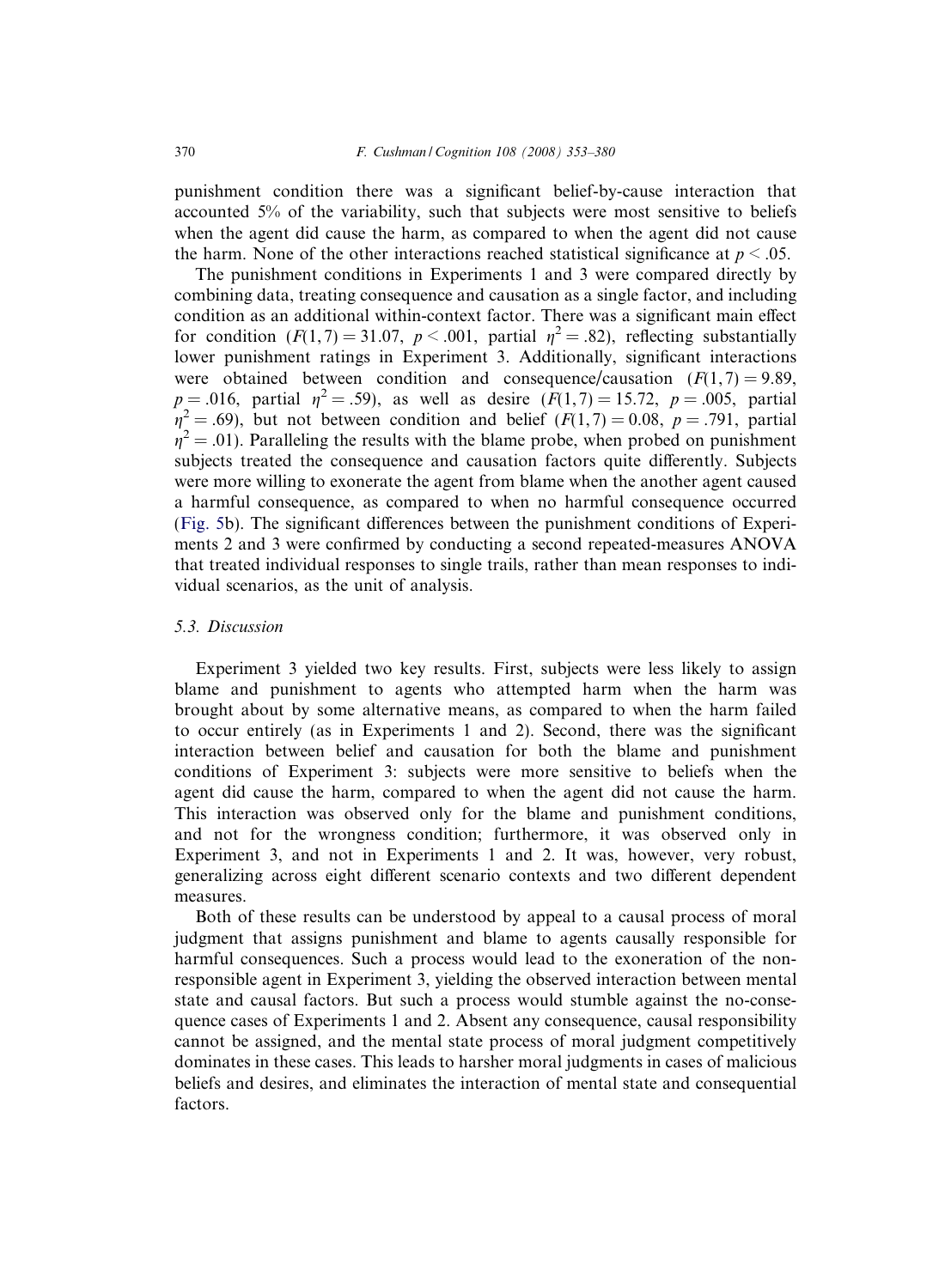punishment condition there was a significant belief-by-cause interaction that accounted 5% of the variability, such that subjects were most sensitive to beliefs when the agent did cause the harm, as compared to when the agent did not cause the harm. None of the other interactions reached statistical significance at  $p < .05$ .

The punishment conditions in Experiments 1 and 3 were compared directly by combining data, treating consequence and causation as a single factor, and including condition as an additional within-context factor. There was a significant main effect for condition  $(F(1, 7) = 31.07, p < .001$ , partial  $n^2 = .82$ ), reflecting substantially lower punishment ratings in Experiment 3. Additionally, significant interactions were obtained between condition and consequence/causation  $(F(1, 7) = 9.89$ ,  $p = .016$ , partial  $\eta^2 = .59$ ), as well as desire  $(F(1, 7) = 15.72, p = .005$ , partial  $g_1^2 = .69$ , but not between condition and belief  $(F(1, 7) = 0.08, p = .791,$  partial  $\eta^2 = .01$ ). Paralleling the results with the blame probe, when probed on punishment subjects treated the consequence and causation factors quite differently. Subjects were more willing to exonerate the agent from blame when the another agent caused a harmful consequence, as compared to when no harmful consequence occurred ([Fig. 5](#page-16-0)b). The significant differences between the punishment conditions of Experiments 2 and 3 were confirmed by conducting a second repeated-measures ANOVA that treated individual responses to single trails, rather than mean responses to individual scenarios, as the unit of analysis.

#### 5.3. Discussion

Experiment 3 yielded two key results. First, subjects were less likely to assign blame and punishment to agents who attempted harm when the harm was brought about by some alternative means, as compared to when the harm failed to occur entirely (as in Experiments 1 and 2). Second, there was the significant interaction between belief and causation for both the blame and punishment conditions of Experiment 3: subjects were more sensitive to beliefs when the agent did cause the harm, compared to when the agent did not cause the harm. This interaction was observed only for the blame and punishment conditions, and not for the wrongness condition; furthermore, it was observed only in Experiment 3, and not in Experiments 1 and 2. It was, however, very robust, generalizing across eight different scenario contexts and two different dependent measures.

Both of these results can be understood by appeal to a causal process of moral judgment that assigns punishment and blame to agents causally responsible for harmful consequences. Such a process would lead to the exoneration of the nonresponsible agent in Experiment 3, yielding the observed interaction between mental state and causal factors. But such a process would stumble against the no-consequence cases of Experiments 1 and 2. Absent any consequence, causal responsibility cannot be assigned, and the mental state process of moral judgment competitively dominates in these cases. This leads to harsher moral judgments in cases of malicious beliefs and desires, and eliminates the interaction of mental state and consequential factors.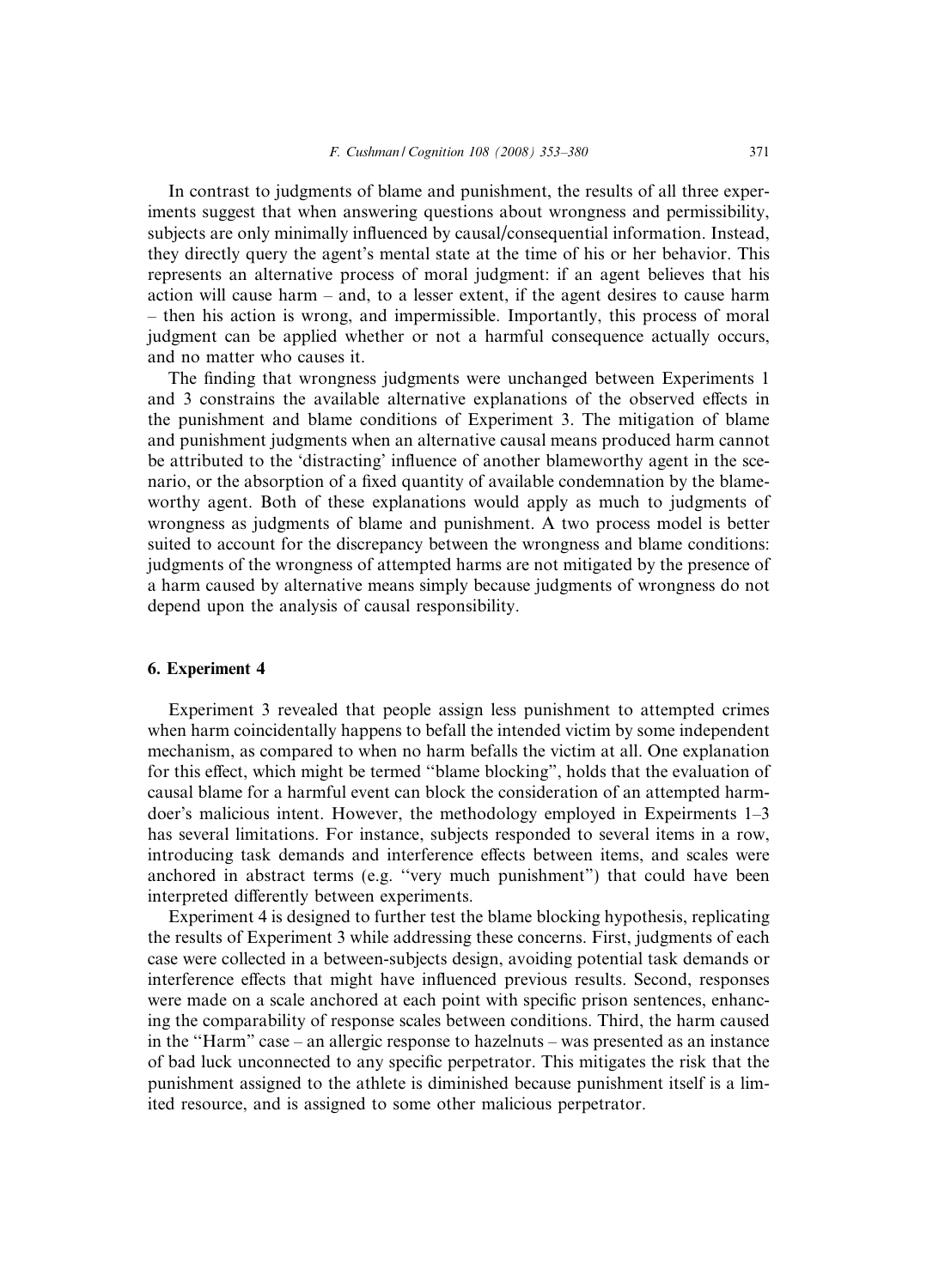In contrast to judgments of blame and punishment, the results of all three experiments suggest that when answering questions about wrongness and permissibility, subjects are only minimally influenced by causal/consequential information. Instead, they directly query the agent's mental state at the time of his or her behavior. This represents an alternative process of moral judgment: if an agent believes that his action will cause harm – and, to a lesser extent, if the agent desires to cause harm – then his action is wrong, and impermissible. Importantly, this process of moral judgment can be applied whether or not a harmful consequence actually occurs, and no matter who causes it.

The finding that wrongness judgments were unchanged between Experiments 1 and 3 constrains the available alternative explanations of the observed effects in the punishment and blame conditions of Experiment 3. The mitigation of blame and punishment judgments when an alternative causal means produced harm cannot be attributed to the 'distracting' influence of another blameworthy agent in the scenario, or the absorption of a fixed quantity of available condemnation by the blameworthy agent. Both of these explanations would apply as much to judgments of wrongness as judgments of blame and punishment. A two process model is better suited to account for the discrepancy between the wrongness and blame conditions: judgments of the wrongness of attempted harms are not mitigated by the presence of a harm caused by alternative means simply because judgments of wrongness do not depend upon the analysis of causal responsibility.

#### 6. Experiment 4

Experiment 3 revealed that people assign less punishment to attempted crimes when harm coincidentally happens to befall the intended victim by some independent mechanism, as compared to when no harm befalls the victim at all. One explanation for this effect, which might be termed ''blame blocking", holds that the evaluation of causal blame for a harmful event can block the consideration of an attempted harmdoer's malicious intent. However, the methodology employed in Expeirments 1–3 has several limitations. For instance, subjects responded to several items in a row, introducing task demands and interference effects between items, and scales were anchored in abstract terms (e.g. ''very much punishment") that could have been interpreted differently between experiments.

Experiment 4 is designed to further test the blame blocking hypothesis, replicating the results of Experiment 3 while addressing these concerns. First, judgments of each case were collected in a between-subjects design, avoiding potential task demands or interference effects that might have influenced previous results. Second, responses were made on a scale anchored at each point with specific prison sentences, enhancing the comparability of response scales between conditions. Third, the harm caused in the ''Harm" case – an allergic response to hazelnuts – was presented as an instance of bad luck unconnected to any specific perpetrator. This mitigates the risk that the punishment assigned to the athlete is diminished because punishment itself is a limited resource, and is assigned to some other malicious perpetrator.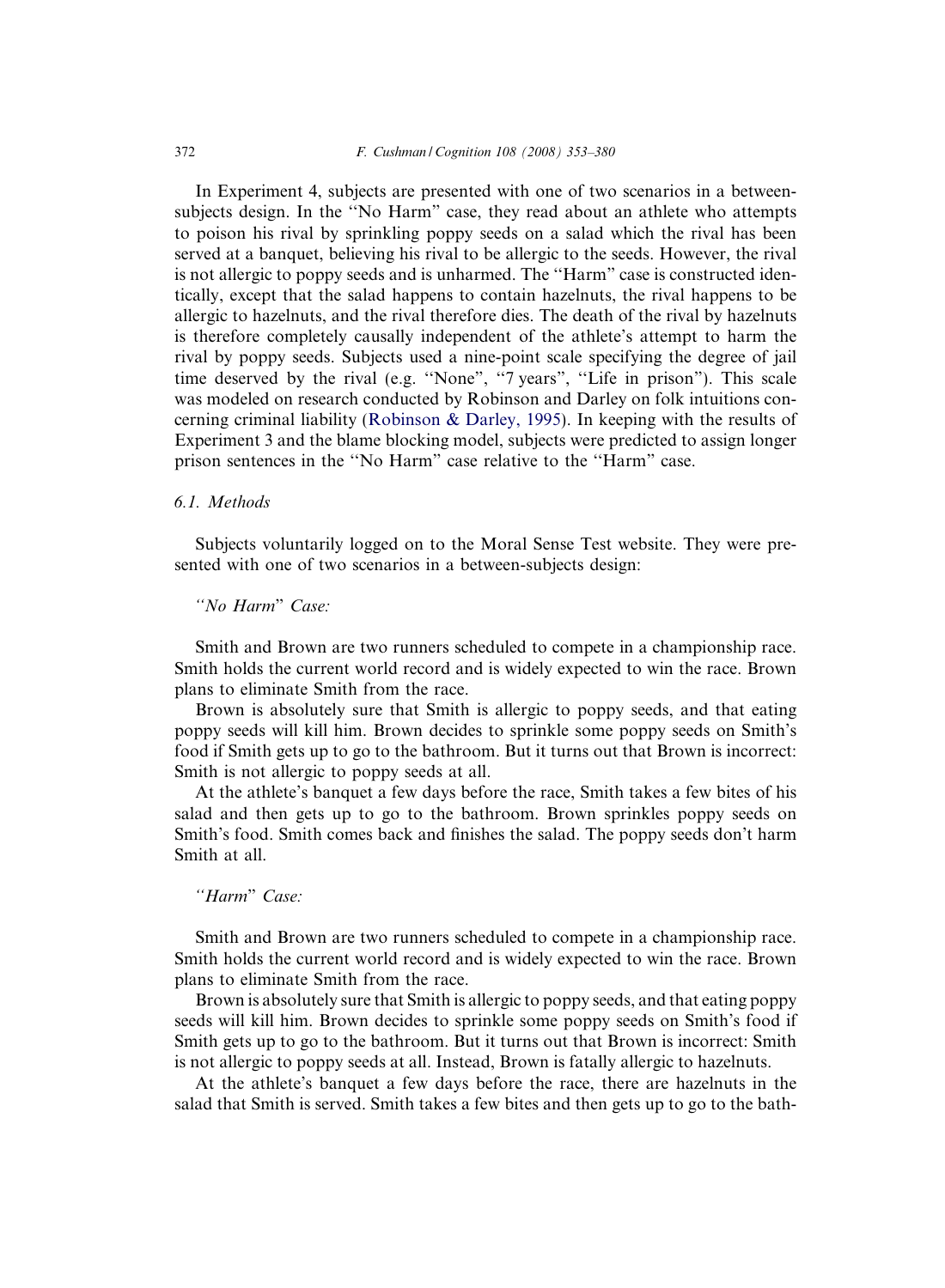In Experiment 4, subjects are presented with one of two scenarios in a betweensubjects design. In the ''No Harm" case, they read about an athlete who attempts to poison his rival by sprinkling poppy seeds on a salad which the rival has been served at a banquet, believing his rival to be allergic to the seeds. However, the rival is not allergic to poppy seeds and is unharmed. The ''Harm" case is constructed identically, except that the salad happens to contain hazelnuts, the rival happens to be allergic to hazelnuts, and the rival therefore dies. The death of the rival by hazelnuts is therefore completely causally independent of the athlete's attempt to harm the rival by poppy seeds. Subjects used a nine-point scale specifying the degree of jail time deserved by the rival (e.g. "None", "7 years", "Life in prison"). This scale was modeled on research conducted by Robinson and Darley on folk intuitions concerning criminal liability [\(Robinson & Darley, 1995](#page-27-0)). In keeping with the results of Experiment 3 and the blame blocking model, subjects were predicted to assign longer prison sentences in the ''No Harm" case relative to the ''Harm" case.

#### 6.1. Methods

Subjects voluntarily logged on to the Moral Sense Test website. They were presented with one of two scenarios in a between-subjects design:

## ''No Harm" Case:

Smith and Brown are two runners scheduled to compete in a championship race. Smith holds the current world record and is widely expected to win the race. Brown plans to eliminate Smith from the race.

Brown is absolutely sure that Smith is allergic to poppy seeds, and that eating poppy seeds will kill him. Brown decides to sprinkle some poppy seeds on Smith's food if Smith gets up to go to the bathroom. But it turns out that Brown is incorrect: Smith is not allergic to poppy seeds at all.

At the athlete's banquet a few days before the race, Smith takes a few bites of his salad and then gets up to go to the bathroom. Brown sprinkles poppy seeds on Smith's food. Smith comes back and finishes the salad. The poppy seeds don't harm Smith at all.

# ''Harm" Case:

Smith and Brown are two runners scheduled to compete in a championship race. Smith holds the current world record and is widely expected to win the race. Brown plans to eliminate Smith from the race.

Brown is absolutely sure that Smith is allergic to poppy seeds, and that eating poppy seeds will kill him. Brown decides to sprinkle some poppy seeds on Smith's food if Smith gets up to go to the bathroom. But it turns out that Brown is incorrect: Smith is not allergic to poppy seeds at all. Instead, Brown is fatally allergic to hazelnuts.

At the athlete's banquet a few days before the race, there are hazelnuts in the salad that Smith is served. Smith takes a few bites and then gets up to go to the bath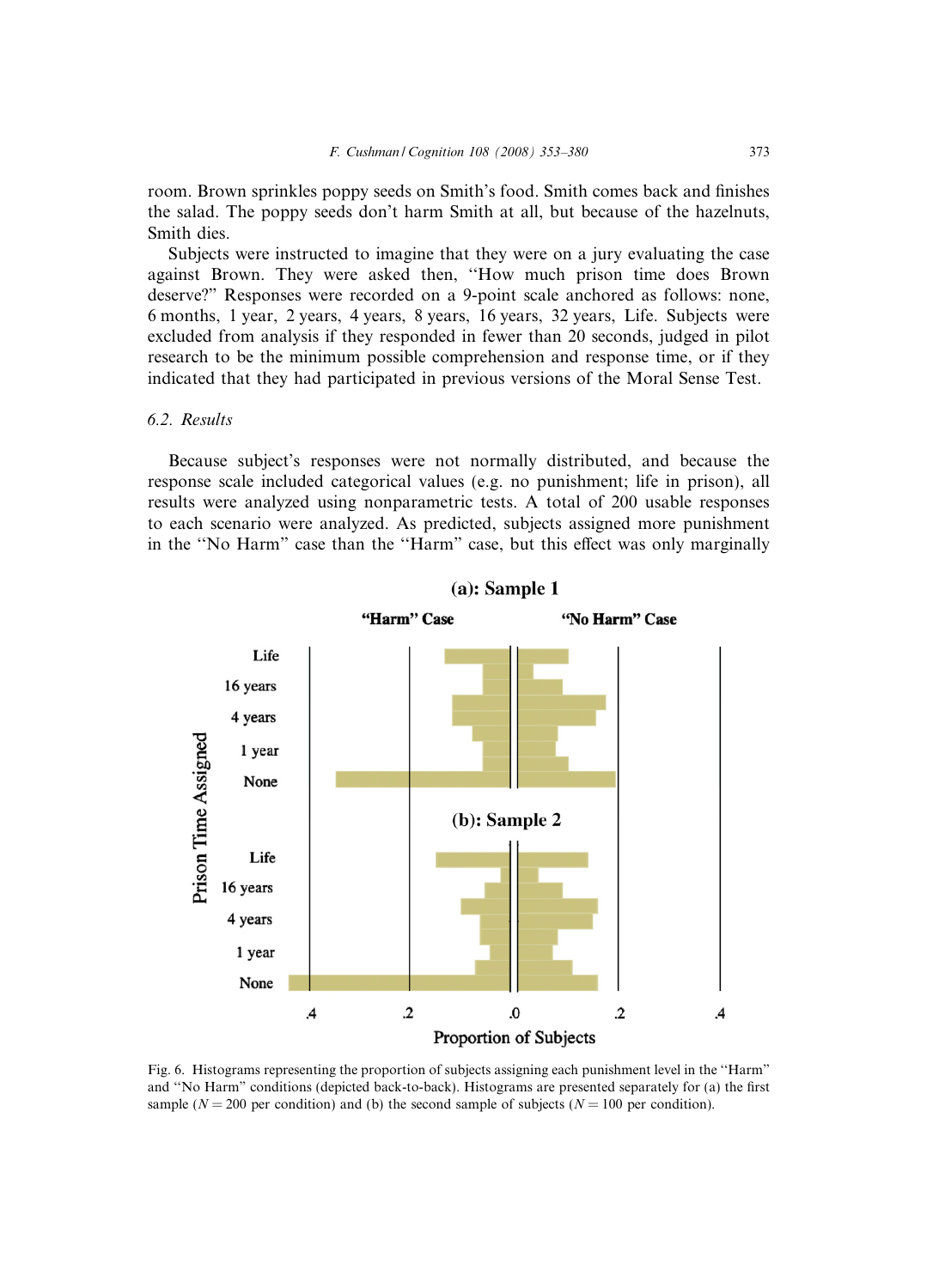<span id="page-20-0"></span>room. Brown sprinkles poppy seeds on Smith's food. Smith comes back and finishes the salad. The poppy seeds don't harm Smith at all, but because of the hazelnuts, Smith dies.

Subjects were instructed to imagine that they were on a jury evaluating the case against Brown. They were asked then, ''How much prison time does Brown deserve?" Responses were recorded on a 9-point scale anchored as follows: none, 6 months, 1 year, 2 years, 4 years, 8 years, 16 years, 32 years, Life. Subjects were excluded from analysis if they responded in fewer than 20 seconds, judged in pilot research to be the minimum possible comprehension and response time, or if they indicated that they had participated in previous versions of the Moral Sense Test.

#### 6.2. Results

Because subject's responses were not normally distributed, and because the response scale included categorical values (e.g. no punishment; life in prison), all results were analyzed using nonparametric tests. A total of 200 usable responses to each scenario were analyzed. As predicted, subjects assigned more punishment in the ''No Harm" case than the ''Harm" case, but this effect was only marginally



Fig. 6. Histograms representing the proportion of subjects assigning each punishment level in the ''Harm" and ''No Harm" conditions (depicted back-to-back). Histograms are presented separately for (a) the first sample ( $N = 200$  per condition) and (b) the second sample of subjects ( $N = 100$  per condition).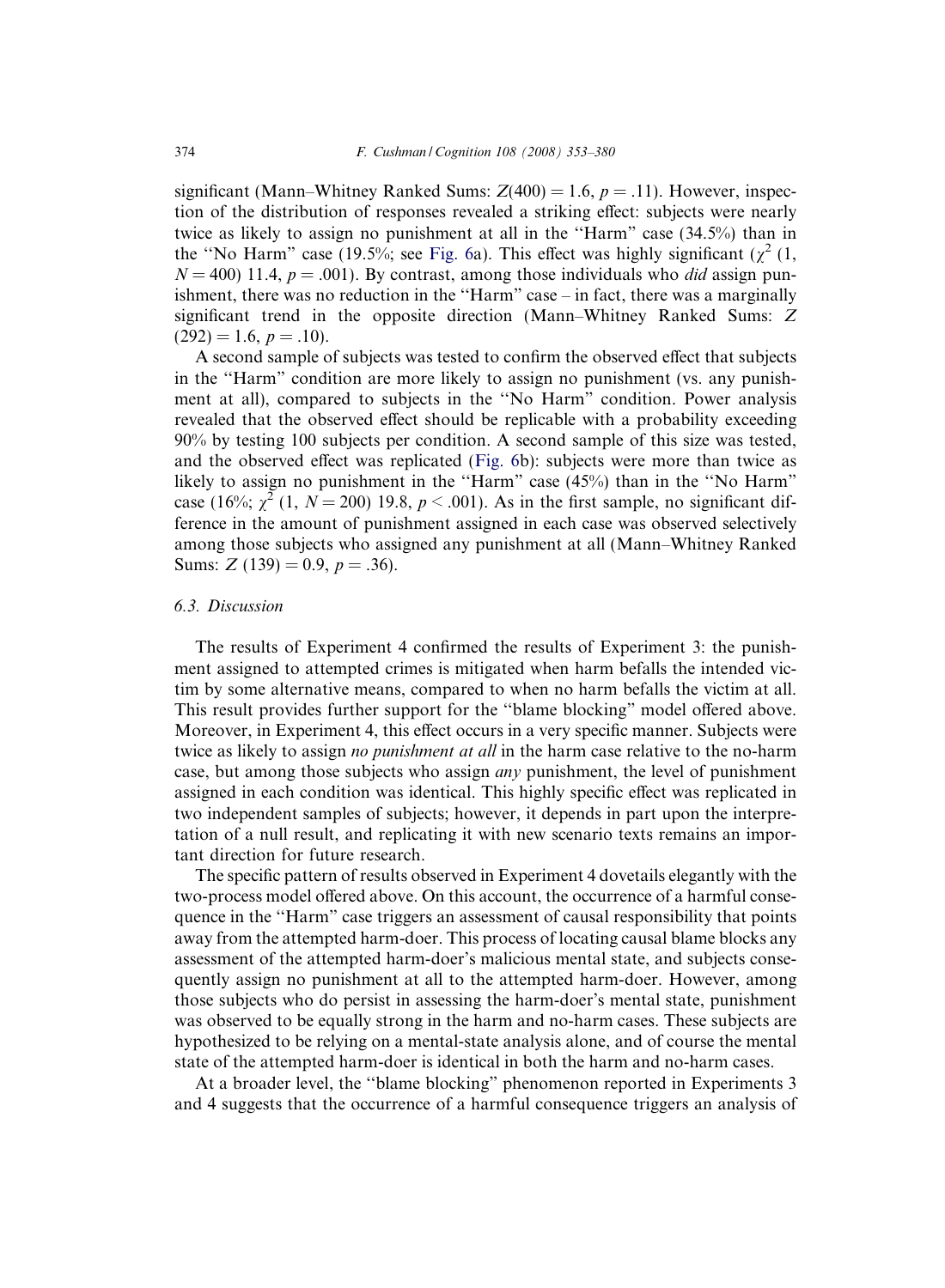significant (Mann–Whitney Ranked Sums:  $Z(400) = 1.6$ ,  $p = .11$ ). However, inspection of the distribution of responses revealed a striking effect: subjects were nearly twice as likely to assign no punishment at all in the ''Harm" case (34.5%) than in the "No Harm" case (19.5%; see [Fig. 6a](#page-20-0)). This effect was highly significant ( $\chi^2$  (1,  $N = 400$ ) 11.4,  $p = .001$ ). By contrast, among those individuals who *did* assign punishment, there was no reduction in the ''Harm" case – in fact, there was a marginally significant trend in the opposite direction (Mann–Whitney Ranked Sums: Z  $(292) = 1.6, p = .10$ .

A second sample of subjects was tested to confirm the observed effect that subjects in the "Harm" condition are more likely to assign no punishment (vs. any punishment at all), compared to subjects in the ''No Harm" condition. Power analysis revealed that the observed effect should be replicable with a probability exceeding 90% by testing 100 subjects per condition. A second sample of this size was tested, and the observed effect was replicated ([Fig. 6](#page-20-0)b): subjects were more than twice as likely to assign no punishment in the ''Harm" case (45%) than in the ''No Harm" case (16%;  $\chi^2$  (1, N = 200) 19.8, p < .001). As in the first sample, no significant difference in the amount of punishment assigned in each case was observed selectively among those subjects who assigned any punishment at all (Mann–Whitney Ranked Sums:  $Z(139) = 0.9$ ,  $p = .36$ ).

#### 6.3. Discussion

The results of Experiment 4 confirmed the results of Experiment 3: the punishment assigned to attempted crimes is mitigated when harm befalls the intended victim by some alternative means, compared to when no harm befalls the victim at all. This result provides further support for the ''blame blocking" model offered above. Moreover, in Experiment 4, this effect occurs in a very specific manner. Subjects were twice as likely to assign *no punishment at all* in the harm case relative to the no-harm case, but among those subjects who assign *any* punishment, the level of punishment assigned in each condition was identical. This highly specific effect was replicated in two independent samples of subjects; however, it depends in part upon the interpretation of a null result, and replicating it with new scenario texts remains an important direction for future research.

The specific pattern of results observed in Experiment 4 dovetails elegantly with the two-process model offered above. On this account, the occurrence of a harmful consequence in the ''Harm" case triggers an assessment of causal responsibility that points away from the attempted harm-doer. This process of locating causal blame blocks any assessment of the attempted harm-doer's malicious mental state, and subjects consequently assign no punishment at all to the attempted harm-doer. However, among those subjects who do persist in assessing the harm-doer's mental state, punishment was observed to be equally strong in the harm and no-harm cases. These subjects are hypothesized to be relying on a mental-state analysis alone, and of course the mental state of the attempted harm-doer is identical in both the harm and no-harm cases.

At a broader level, the ''blame blocking" phenomenon reported in Experiments 3 and 4 suggests that the occurrence of a harmful consequence triggers an analysis of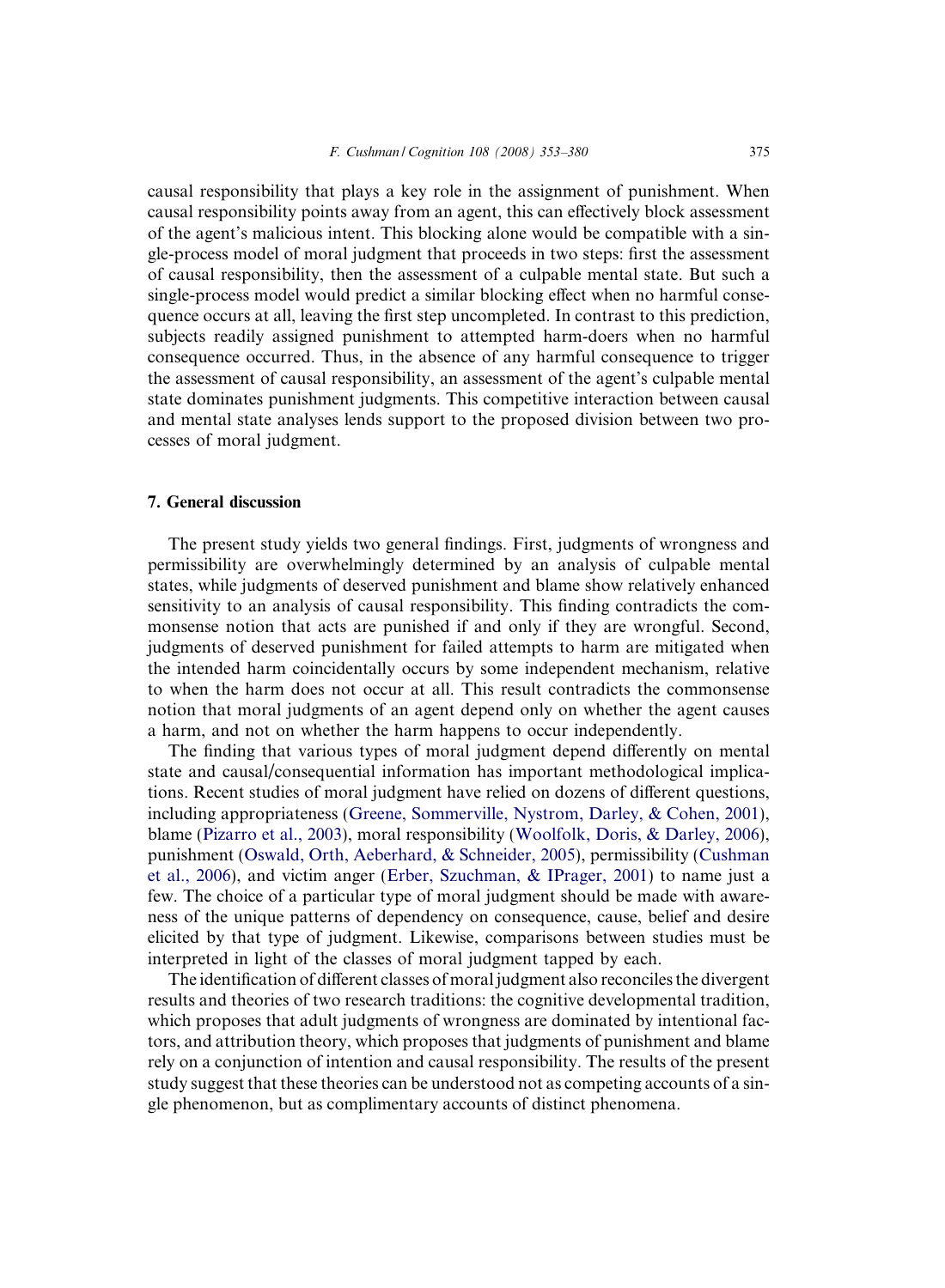causal responsibility that plays a key role in the assignment of punishment. When causal responsibility points away from an agent, this can effectively block assessment of the agent's malicious intent. This blocking alone would be compatible with a single-process model of moral judgment that proceeds in two steps: first the assessment of causal responsibility, then the assessment of a culpable mental state. But such a single-process model would predict a similar blocking effect when no harmful consequence occurs at all, leaving the first step uncompleted. In contrast to this prediction, subjects readily assigned punishment to attempted harm-doers when no harmful consequence occurred. Thus, in the absence of any harmful consequence to trigger the assessment of causal responsibility, an assessment of the agent's culpable mental state dominates punishment judgments. This competitive interaction between causal and mental state analyses lends support to the proposed division between two processes of moral judgment.

#### 7. General discussion

The present study yields two general findings. First, judgments of wrongness and permissibility are overwhelmingly determined by an analysis of culpable mental states, while judgments of deserved punishment and blame show relatively enhanced sensitivity to an analysis of causal responsibility. This finding contradicts the commonsense notion that acts are punished if and only if they are wrongful. Second, judgments of deserved punishment for failed attempts to harm are mitigated when the intended harm coincidentally occurs by some independent mechanism, relative to when the harm does not occur at all. This result contradicts the commonsense notion that moral judgments of an agent depend only on whether the agent causes a harm, and not on whether the harm happens to occur independently.

The finding that various types of moral judgment depend differently on mental state and causal/consequential information has important methodological implications. Recent studies of moral judgment have relied on dozens of different questions, including appropriateness [\(Greene, Sommerville, Nystrom, Darley, & Cohen, 2001\)](#page-26-0), blame ([Pizarro et al., 2003](#page-27-0)), moral responsibility [\(Woolfolk, Doris, & Darley, 2006\)](#page-27-0), punishment ([Oswald, Orth, Aeberhard, & Schneider, 2005\)](#page-27-0), permissibility ([Cushman](#page-26-0) [et al., 2006](#page-26-0)), and victim anger [\(Erber, Szuchman, & IPrager, 2001](#page-26-0)) to name just a few. The choice of a particular type of moral judgment should be made with awareness of the unique patterns of dependency on consequence, cause, belief and desire elicited by that type of judgment. Likewise, comparisons between studies must be interpreted in light of the classes of moral judgment tapped by each.

The identification of different classes of moral judgment also reconciles the divergent results and theories of two research traditions: the cognitive developmental tradition, which proposes that adult judgments of wrongness are dominated by intentional factors, and attribution theory, which proposes that judgments of punishment and blame rely on a conjunction of intention and causal responsibility. The results of the present study suggest that these theories can be understood not as competing accounts of a single phenomenon, but as complimentary accounts of distinct phenomena.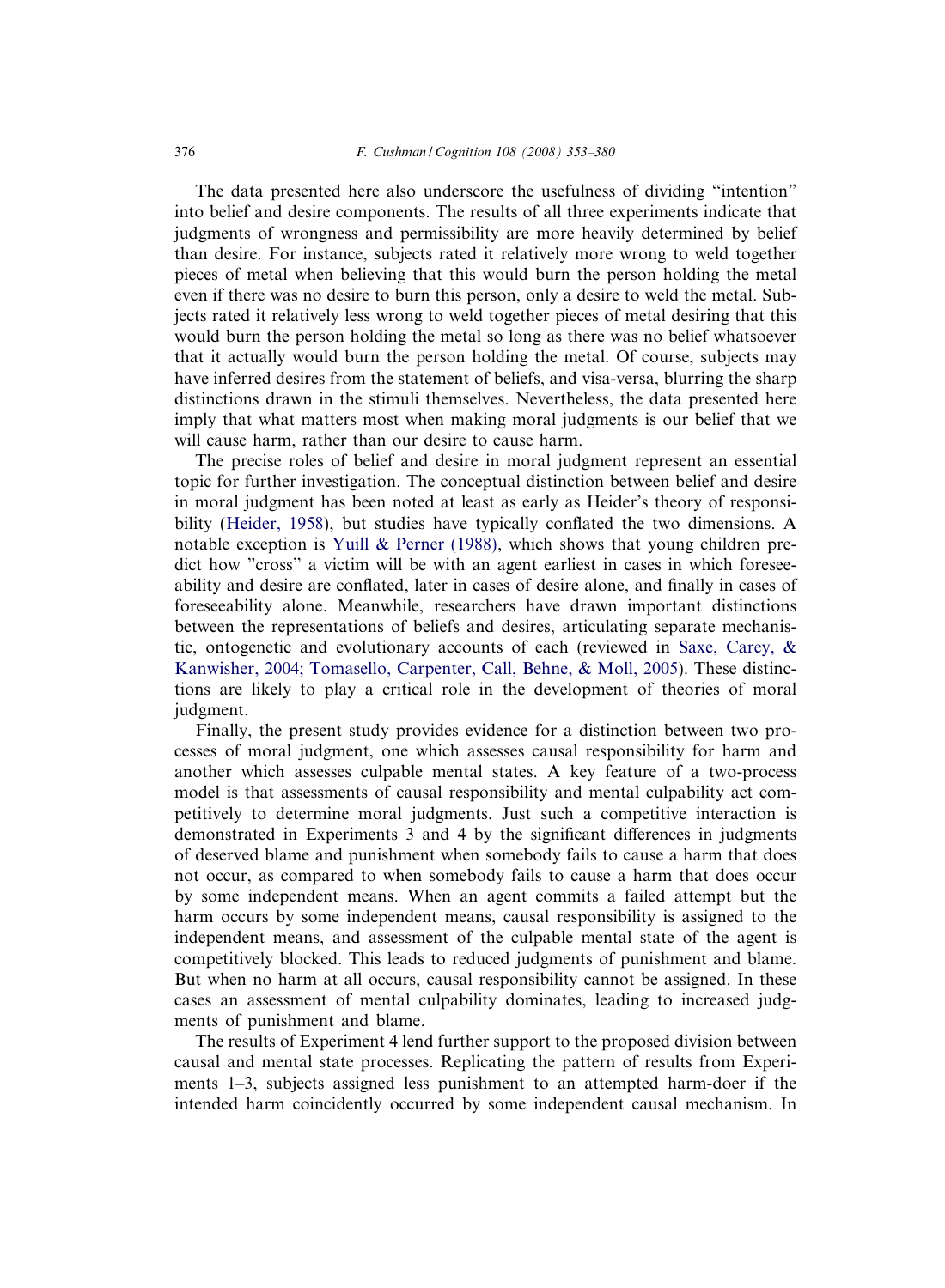The data presented here also underscore the usefulness of dividing ''intention" into belief and desire components. The results of all three experiments indicate that judgments of wrongness and permissibility are more heavily determined by belief than desire. For instance, subjects rated it relatively more wrong to weld together pieces of metal when believing that this would burn the person holding the metal even if there was no desire to burn this person, only a desire to weld the metal. Subjects rated it relatively less wrong to weld together pieces of metal desiring that this would burn the person holding the metal so long as there was no belief whatsoever that it actually would burn the person holding the metal. Of course, subjects may have inferred desires from the statement of beliefs, and visa-versa, blurring the sharp distinctions drawn in the stimuli themselves. Nevertheless, the data presented here imply that what matters most when making moral judgments is our belief that we will cause harm, rather than our desire to cause harm.

The precise roles of belief and desire in moral judgment represent an essential topic for further investigation. The conceptual distinction between belief and desire in moral judgment has been noted at least as early as Heider's theory of responsibility [\(Heider, 1958\)](#page-26-0), but studies have typically conflated the two dimensions. A notable exception is [Yuill & Perner \(1988\),](#page-27-0) which shows that young children predict how "cross" a victim will be with an agent earliest in cases in which foreseeability and desire are conflated, later in cases of desire alone, and finally in cases of foreseeability alone. Meanwhile, researchers have drawn important distinctions between the representations of beliefs and desires, articulating separate mechanistic, ontogenetic and evolutionary accounts of each (reviewed in [Saxe, Carey, &](#page-27-0) [Kanwisher, 2004; Tomasello, Carpenter, Call, Behne, & Moll, 2005\)](#page-27-0). These distinctions are likely to play a critical role in the development of theories of moral judgment.

Finally, the present study provides evidence for a distinction between two processes of moral judgment, one which assesses causal responsibility for harm and another which assesses culpable mental states. A key feature of a two-process model is that assessments of causal responsibility and mental culpability act competitively to determine moral judgments. Just such a competitive interaction is demonstrated in Experiments 3 and 4 by the significant differences in judgments of deserved blame and punishment when somebody fails to cause a harm that does not occur, as compared to when somebody fails to cause a harm that does occur by some independent means. When an agent commits a failed attempt but the harm occurs by some independent means, causal responsibility is assigned to the independent means, and assessment of the culpable mental state of the agent is competitively blocked. This leads to reduced judgments of punishment and blame. But when no harm at all occurs, causal responsibility cannot be assigned. In these cases an assessment of mental culpability dominates, leading to increased judgments of punishment and blame.

The results of Experiment 4 lend further support to the proposed division between causal and mental state processes. Replicating the pattern of results from Experiments 1–3, subjects assigned less punishment to an attempted harm-doer if the intended harm coincidently occurred by some independent causal mechanism. In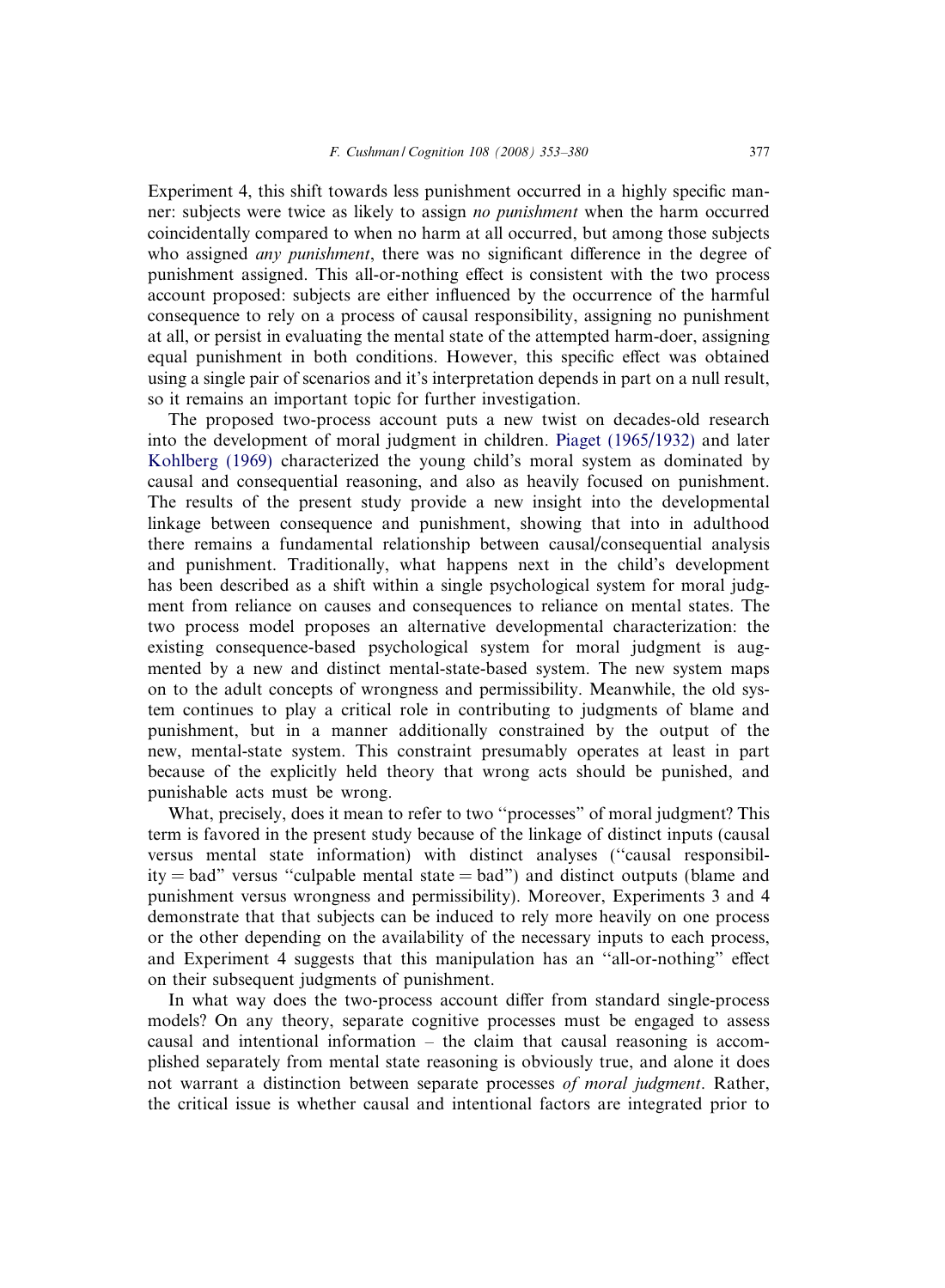Experiment 4, this shift towards less punishment occurred in a highly specific manner: subjects were twice as likely to assign no punishment when the harm occurred coincidentally compared to when no harm at all occurred, but among those subjects who assigned *any punishment*, there was no significant difference in the degree of punishment assigned. This all-or-nothing effect is consistent with the two process account proposed: subjects are either influenced by the occurrence of the harmful consequence to rely on a process of causal responsibility, assigning no punishment at all, or persist in evaluating the mental state of the attempted harm-doer, assigning equal punishment in both conditions. However, this specific effect was obtained using a single pair of scenarios and it's interpretation depends in part on a null result, so it remains an important topic for further investigation.

The proposed two-process account puts a new twist on decades-old research into the development of moral judgment in children. [Piaget \(1965/1932\)](#page-27-0) and later [Kohlberg \(1969\)](#page-27-0) characterized the young child's moral system as dominated by causal and consequential reasoning, and also as heavily focused on punishment. The results of the present study provide a new insight into the developmental linkage between consequence and punishment, showing that into in adulthood there remains a fundamental relationship between causal/consequential analysis and punishment. Traditionally, what happens next in the child's development has been described as a shift within a single psychological system for moral judgment from reliance on causes and consequences to reliance on mental states. The two process model proposes an alternative developmental characterization: the existing consequence-based psychological system for moral judgment is augmented by a new and distinct mental-state-based system. The new system maps on to the adult concepts of wrongness and permissibility. Meanwhile, the old system continues to play a critical role in contributing to judgments of blame and punishment, but in a manner additionally constrained by the output of the new, mental-state system. This constraint presumably operates at least in part because of the explicitly held theory that wrong acts should be punished, and punishable acts must be wrong.

What, precisely, does it mean to refer to two ''processes" of moral judgment? This term is favored in the present study because of the linkage of distinct inputs (causal versus mental state information) with distinct analyses (''causal responsibil $ity = bad$ " versus "culpable mental state  $= bad$ ") and distinct outputs (blame and punishment versus wrongness and permissibility). Moreover, Experiments 3 and 4 demonstrate that that subjects can be induced to rely more heavily on one process or the other depending on the availability of the necessary inputs to each process, and Experiment 4 suggests that this manipulation has an ''all-or-nothing" effect on their subsequent judgments of punishment.

In what way does the two-process account differ from standard single-process models? On any theory, separate cognitive processes must be engaged to assess causal and intentional information – the claim that causal reasoning is accomplished separately from mental state reasoning is obviously true, and alone it does not warrant a distinction between separate processes of moral judgment. Rather, the critical issue is whether causal and intentional factors are integrated prior to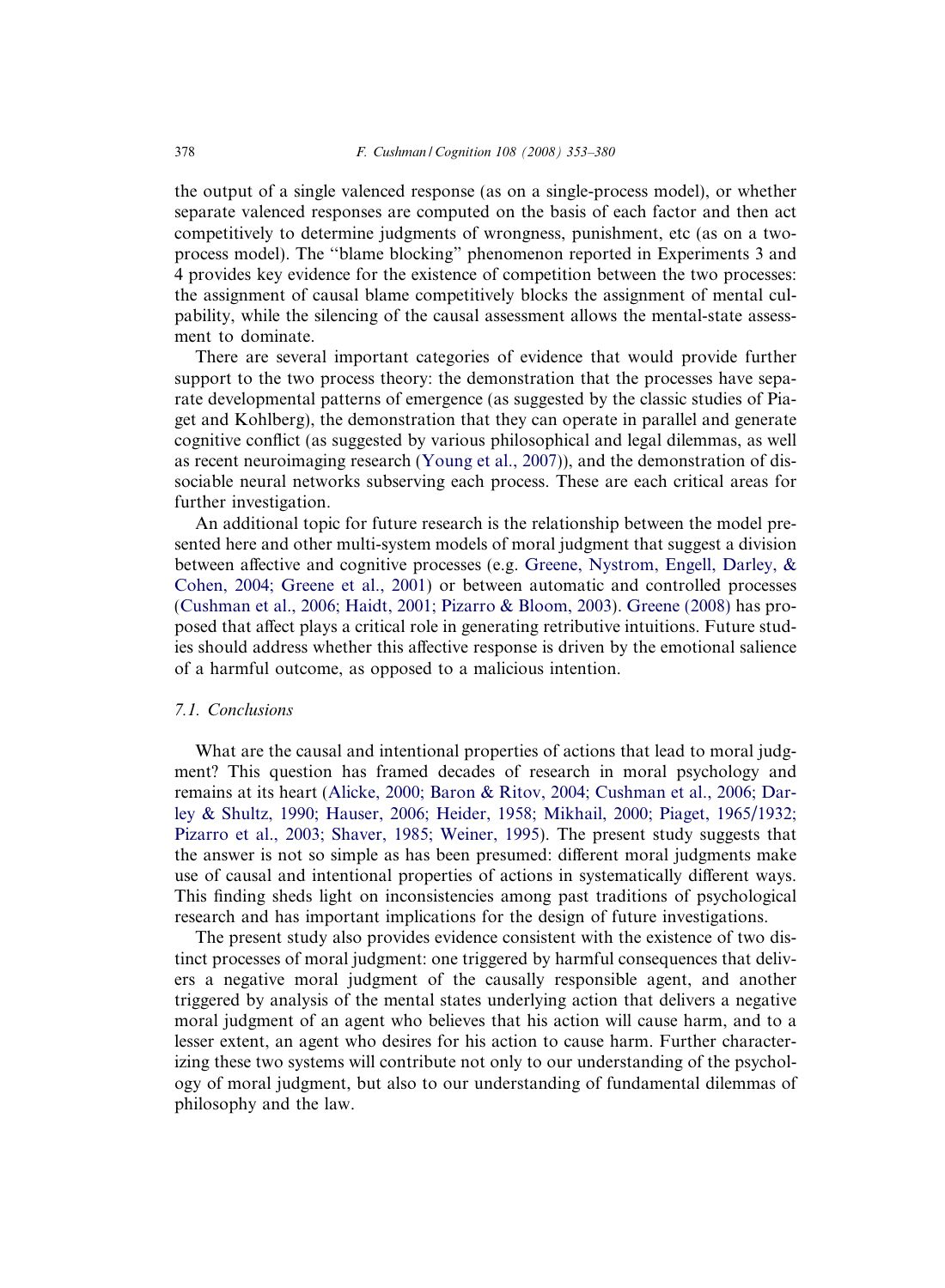the output of a single valenced response (as on a single-process model), or whether separate valenced responses are computed on the basis of each factor and then act competitively to determine judgments of wrongness, punishment, etc (as on a twoprocess model). The ''blame blocking" phenomenon reported in Experiments 3 and 4 provides key evidence for the existence of competition between the two processes: the assignment of causal blame competitively blocks the assignment of mental culpability, while the silencing of the causal assessment allows the mental-state assessment to dominate.

There are several important categories of evidence that would provide further support to the two process theory: the demonstration that the processes have separate developmental patterns of emergence (as suggested by the classic studies of Piaget and Kohlberg), the demonstration that they can operate in parallel and generate cognitive conflict (as suggested by various philosophical and legal dilemmas, as well as recent neuroimaging research [\(Young et al., 2007\)](#page-27-0)), and the demonstration of dissociable neural networks subserving each process. These are each critical areas for further investigation.

An additional topic for future research is the relationship between the model presented here and other multi-system models of moral judgment that suggest a division between affective and cognitive processes (e.g. [Greene, Nystrom, Engell, Darley, &](#page-26-0) [Cohen, 2004; Greene et al., 2001\)](#page-26-0) or between automatic and controlled processes ([Cushman et al., 2006; Haidt, 2001; Pizarro & Bloom, 2003\)](#page-26-0). [Greene \(2008\)](#page-26-0) has proposed that affect plays a critical role in generating retributive intuitions. Future studies should address whether this affective response is driven by the emotional salience of a harmful outcome, as opposed to a malicious intention.

#### 7.1. Conclusions

What are the causal and intentional properties of actions that lead to moral judgment? This question has framed decades of research in moral psychology and remains at its heart [\(Alicke, 2000; Baron & Ritov, 2004; Cushman et al., 2006; Dar](#page-26-0)[ley & Shultz, 1990; Hauser, 2006; Heider, 1958; Mikhail, 2000; Piaget, 1965/1932;](#page-26-0) [Pizarro et al., 2003; Shaver, 1985; Weiner, 1995\)](#page-26-0). The present study suggests that the answer is not so simple as has been presumed: different moral judgments make use of causal and intentional properties of actions in systematically different ways. This finding sheds light on inconsistencies among past traditions of psychological research and has important implications for the design of future investigations.

The present study also provides evidence consistent with the existence of two distinct processes of moral judgment: one triggered by harmful consequences that delivers a negative moral judgment of the causally responsible agent, and another triggered by analysis of the mental states underlying action that delivers a negative moral judgment of an agent who believes that his action will cause harm, and to a lesser extent, an agent who desires for his action to cause harm. Further characterizing these two systems will contribute not only to our understanding of the psychology of moral judgment, but also to our understanding of fundamental dilemmas of philosophy and the law.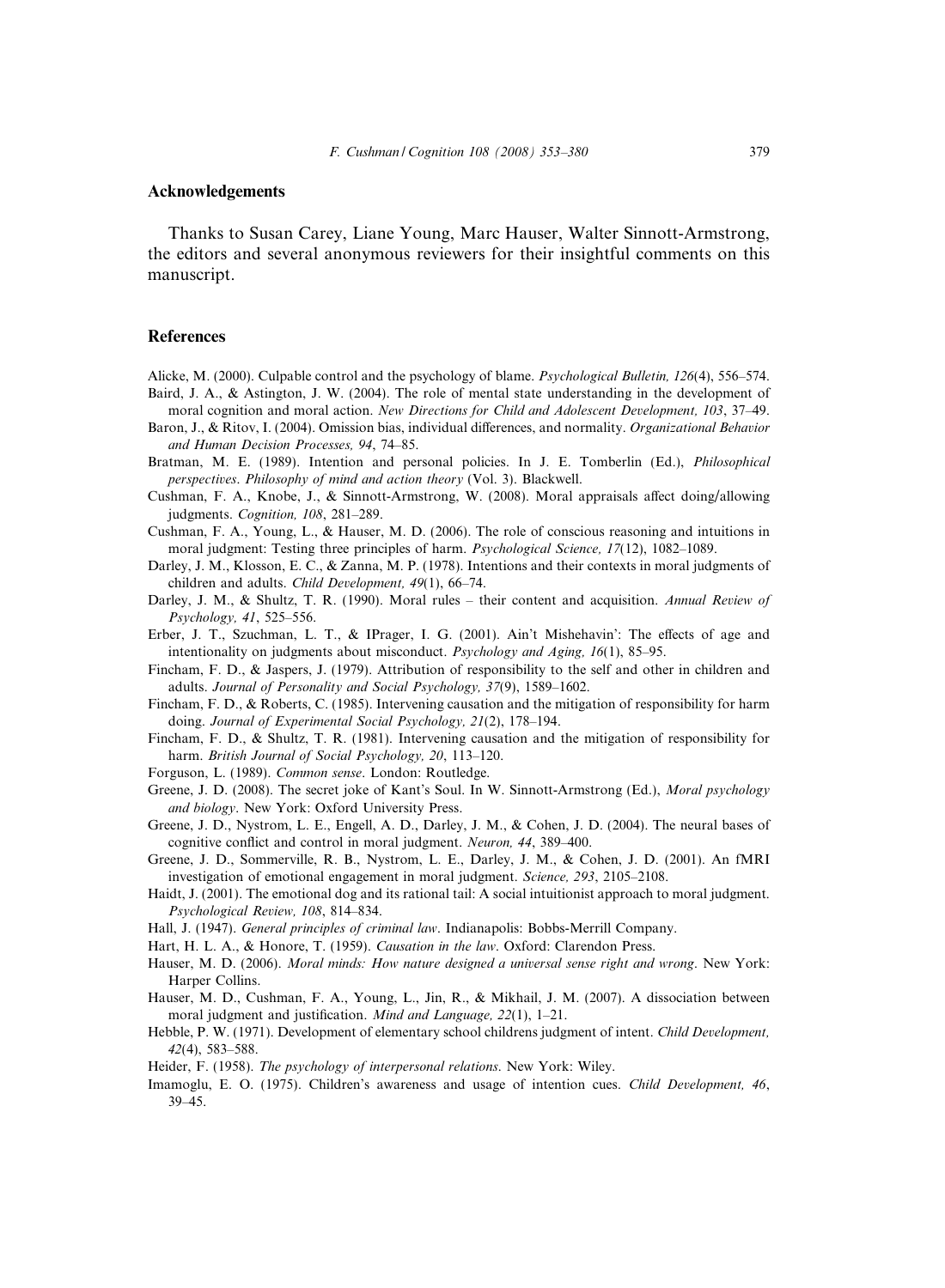#### <span id="page-26-0"></span>Acknowledgements

Thanks to Susan Carey, Liane Young, Marc Hauser, Walter Sinnott-Armstrong, the editors and several anonymous reviewers for their insightful comments on this manuscript.

#### References

- Alicke, M. (2000). Culpable control and the psychology of blame. *Psychological Bulletin*, 126(4), 556–574. Baird, J. A., & Astington, J. W. (2004). The role of mental state understanding in the development of
- moral cognition and moral action. New Directions for Child and Adolescent Development, 103, 37–49. Baron, J., & Ritov, I. (2004). Omission bias, individual differences, and normality. Organizational Behavior and Human Decision Processes, 94, 74–85.
- Bratman, M. E. (1989). Intention and personal policies. In J. E. Tomberlin (Ed.), *Philosophical* perspectives. Philosophy of mind and action theory (Vol. 3). Blackwell.
- Cushman, F. A., Knobe, J., & Sinnott-Armstrong, W. (2008). Moral appraisals affect doing/allowing judgments. Cognition, 108, 281–289.
- Cushman, F. A., Young, L., & Hauser, M. D. (2006). The role of conscious reasoning and intuitions in moral judgment: Testing three principles of harm. *Psychological Science*, 17(12), 1082–1089.
- Darley, J. M., Klosson, E. C., & Zanna, M. P. (1978). Intentions and their contexts in moral judgments of children and adults. Child Development, 49(1), 66–74.
- Darley, J. M., & Shultz, T. R. (1990). Moral rules their content and acquisition. Annual Review of Psychology, 41, 525–556.
- Erber, J. T., Szuchman, L. T., & IPrager, I. G. (2001). Ain't Mishehavin': The effects of age and intentionality on judgments about misconduct. Psychology and Aging, 16(1), 85–95.
- Fincham, F. D., & Jaspers, J. (1979). Attribution of responsibility to the self and other in children and adults. Journal of Personality and Social Psychology, 37(9), 1589–1602.
- Fincham, F. D., & Roberts, C. (1985). Intervening causation and the mitigation of responsibility for harm doing. Journal of Experimental Social Psychology, 21(2), 178–194.
- Fincham, F. D., & Shultz, T. R. (1981). Intervening causation and the mitigation of responsibility for harm. British Journal of Social Psychology, 20, 113-120.
- Forguson, L. (1989). Common sense. London: Routledge.
- Greene, J. D. (2008). The secret joke of Kant's Soul. In W. Sinnott-Armstrong (Ed.), Moral psychology and biology. New York: Oxford University Press.
- Greene, J. D., Nystrom, L. E., Engell, A. D., Darley, J. M., & Cohen, J. D. (2004). The neural bases of cognitive conflict and control in moral judgment. Neuron, 44, 389–400.
- Greene, J. D., Sommerville, R. B., Nystrom, L. E., Darley, J. M., & Cohen, J. D. (2001). An fMRI investigation of emotional engagement in moral judgment. Science, 293, 2105–2108.
- Haidt, J. (2001). The emotional dog and its rational tail: A social intuitionist approach to moral judgment. Psychological Review, 108, 814–834.
- Hall, J. (1947). General principles of criminal law. Indianapolis: Bobbs-Merrill Company.
- Hart, H. L. A., & Honore, T. (1959). Causation in the law. Oxford: Clarendon Press.
- Hauser, M. D. (2006). Moral minds: How nature designed a universal sense right and wrong. New York: Harper Collins.
- Hauser, M. D., Cushman, F. A., Young, L., Jin, R., & Mikhail, J. M. (2007). A dissociation between moral judgment and justification. Mind and Language, 22(1), 1–21.
- Hebble, P. W. (1971). Development of elementary school childrens judgment of intent. Child Development, 42(4), 583–588.
- Heider, F. (1958). The psychology of interpersonal relations. New York: Wiley.
- Imamoglu, E. O. (1975). Children's awareness and usage of intention cues. Child Development, 46, 39–45.